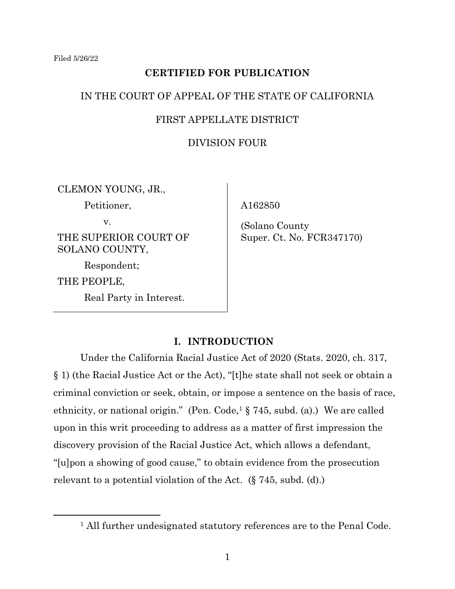## **CERTIFIED FOR PUBLICATION**

## IN THE COURT OF APPEAL OF THE STATE OF CALIFORNIA

## FIRST APPELLATE DISTRICT

### DIVISION FOUR

CLEMON YOUNG, JR.,

Petitioner,

v.

THE SUPERIOR COURT OF SOLANO COUNTY,

Respondent; THE PEOPLE,

Real Party in Interest.

A162850

(Solano County Super. Ct. No. FCR347170)

## **I. INTRODUCTION**

Under the California Racial Justice Act of 2020 (Stats. 2020, ch. 317, § 1) (the Racial Justice Act or the Act), "[t]he state shall not seek or obtain a criminal conviction or seek, obtain, or impose a sentence on the basis of race, ethnicity, or national origin." (Pen. Code,<sup>1</sup>  $\S$  745, subd. (a).) We are called upon in this writ proceeding to address as a matter of first impression the discovery provision of the Racial Justice Act, which allows a defendant, "[u]pon a showing of good cause," to obtain evidence from the prosecution relevant to a potential violation of the Act. (§ 745, subd. (d).)

<sup>&</sup>lt;sup>1</sup> All further undesignated statutory references are to the Penal Code.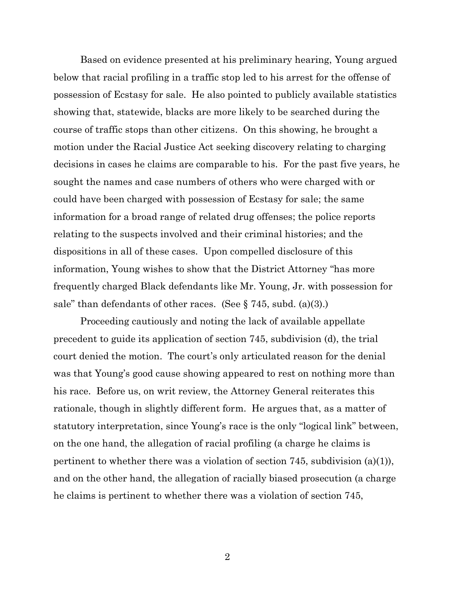Based on evidence presented at his preliminary hearing, Young argued below that racial profiling in a traffic stop led to his arrest for the offense of possession of Ecstasy for sale. He also pointed to publicly available statistics showing that, statewide, blacks are more likely to be searched during the course of traffic stops than other citizens. On this showing, he brought a motion under the Racial Justice Act seeking discovery relating to charging decisions in cases he claims are comparable to his. For the past five years, he sought the names and case numbers of others who were charged with or could have been charged with possession of Ecstasy for sale; the same information for a broad range of related drug offenses; the police reports relating to the suspects involved and their criminal histories; and the dispositions in all of these cases. Upon compelled disclosure of this information, Young wishes to show that the District Attorney "has more frequently charged Black defendants like Mr. Young, Jr. with possession for sale" than defendants of other races. (See  $\S 745$ , subd. (a)(3).)

Proceeding cautiously and noting the lack of available appellate precedent to guide its application of section 745, subdivision (d), the trial court denied the motion. The court's only articulated reason for the denial was that Young's good cause showing appeared to rest on nothing more than his race. Before us, on writ review, the Attorney General reiterates this rationale, though in slightly different form. He argues that, as a matter of statutory interpretation, since Young's race is the only "logical link" between, on the one hand, the allegation of racial profiling (a charge he claims is pertinent to whether there was a violation of section 745, subdivision (a)(1)), and on the other hand, the allegation of racially biased prosecution (a charge he claims is pertinent to whether there was a violation of section 745,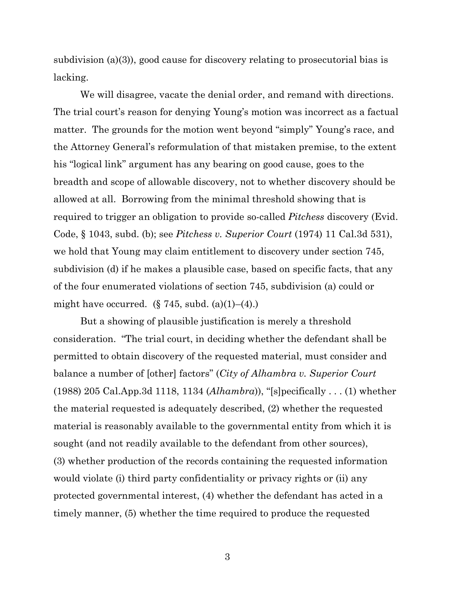subdivision (a)(3)), good cause for discovery relating to prosecutorial bias is lacking.

We will disagree, vacate the denial order, and remand with directions. The trial court's reason for denying Young's motion was incorrect as a factual matter. The grounds for the motion went beyond "simply" Young's race, and the Attorney General's reformulation of that mistaken premise, to the extent his "logical link" argument has any bearing on good cause, goes to the breadth and scope of allowable discovery, not to whether discovery should be allowed at all. Borrowing from the minimal threshold showing that is required to trigger an obligation to provide so-called *Pitchess* discovery (Evid. Code, § 1043, subd. (b); see *Pitchess v. Superior Court* (1974) 11 Cal.3d 531), we hold that Young may claim entitlement to discovery under section 745, subdivision (d) if he makes a plausible case, based on specific facts, that any of the four enumerated violations of section 745, subdivision (a) could or might have occurred.  $(\S 745, \text{subd.} (a)(1)–(4))$ .

But a showing of plausible justification is merely a threshold consideration. "The trial court, in deciding whether the defendant shall be permitted to obtain discovery of the requested material, must consider and balance a number of [other] factors" (*City of Alhambra v. Superior Court* (1988) 205 Cal.App.3d 1118, 1134 (*Alhambra*)), "[s]pecifically . . . (1) whether the material requested is adequately described, (2) whether the requested material is reasonably available to the governmental entity from which it is sought (and not readily available to the defendant from other sources), (3) whether production of the records containing the requested information would violate (i) third party confidentiality or privacy rights or (ii) any protected governmental interest, (4) whether the defendant has acted in a timely manner, (5) whether the time required to produce the requested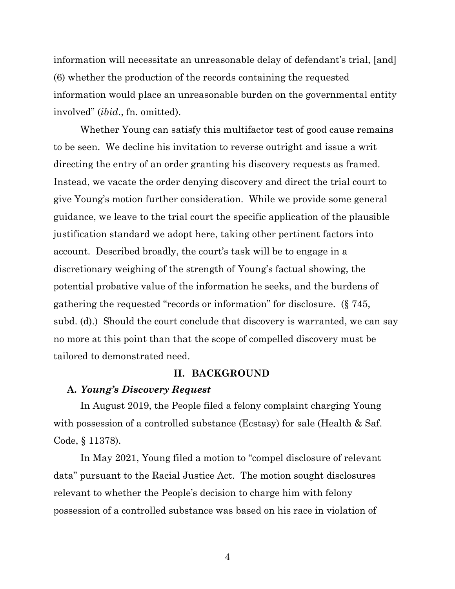information will necessitate an unreasonable delay of defendant's trial, [and] (6) whether the production of the records containing the requested information would place an unreasonable burden on the governmental entity involved" (*ibid*., fn. omitted).

Whether Young can satisfy this multifactor test of good cause remains to be seen. We decline his invitation to reverse outright and issue a writ directing the entry of an order granting his discovery requests as framed. Instead, we vacate the order denying discovery and direct the trial court to give Young's motion further consideration. While we provide some general guidance, we leave to the trial court the specific application of the plausible justification standard we adopt here, taking other pertinent factors into account. Described broadly, the court's task will be to engage in a discretionary weighing of the strength of Young's factual showing, the potential probative value of the information he seeks, and the burdens of gathering the requested "records or information" for disclosure. (§ 745, subd. (d).) Should the court conclude that discovery is warranted, we can say no more at this point than that the scope of compelled discovery must be tailored to demonstrated need.

#### **II. BACKGROUND**

#### **A.** *Young's Discovery Request*

In August 2019, the People filed a felony complaint charging Young with possession of a controlled substance (Ecstasy) for sale (Health & Saf. Code, § 11378).

In May 2021, Young filed a motion to "compel disclosure of relevant data" pursuant to the Racial Justice Act. The motion sought disclosures relevant to whether the People's decision to charge him with felony possession of a controlled substance was based on his race in violation of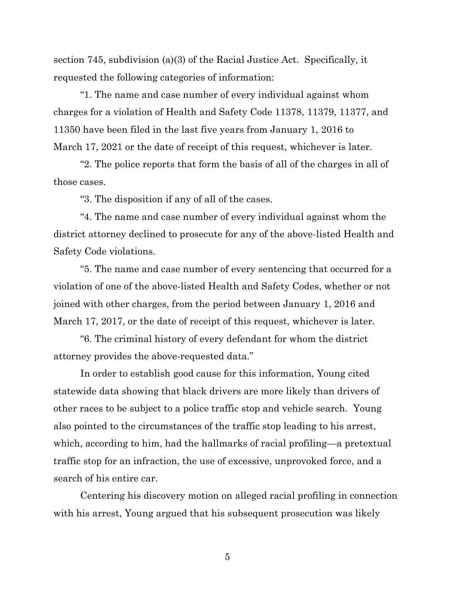section 745, subdivision (a)(3) of the Racial Justice Act. Specifically, it requested the following categories of information:

"1. The name and case number of every individual against whom charges for a violation of Health and Safety Code 11378, 11379, 11377, and 11350 have been filed in the last five years from January 1, 2016 to March 17, 2021 or the date of receipt of this request, whichever is later.

"2. The police reports that form the basis of all of the charges in all of those cases.

"3. The disposition if any of all of the cases.

"4. The name and case number of every individual against whom the district attorney declined to prosecute for any of the above-listed Health and Safety Code violations.

"5. The name and case number of every sentencing that occurred for a violation of one of the above-listed Health and Safety Codes, whether or not joined with other charges, from the period between January 1, 2016 and March 17, 2017, or the date of receipt of this request, whichever is later.

"6. The criminal history of every defendant for whom the district attorney provides the above-requested data."

In order to establish good cause for this information, Young cited statewide data showing that black drivers are more likely than drivers of other races to be subject to a police traffic stop and vehicle search. Young also pointed to the circumstances of the traffic stop leading to his arrest, which, according to him, had the hallmarks of racial profiling—a pretextual traffic stop for an infraction, the use of excessive, unprovoked force, and a search of his entire car.

Centering his discovery motion on alleged racial profiling in connection with his arrest, Young argued that his subsequent prosecution was likely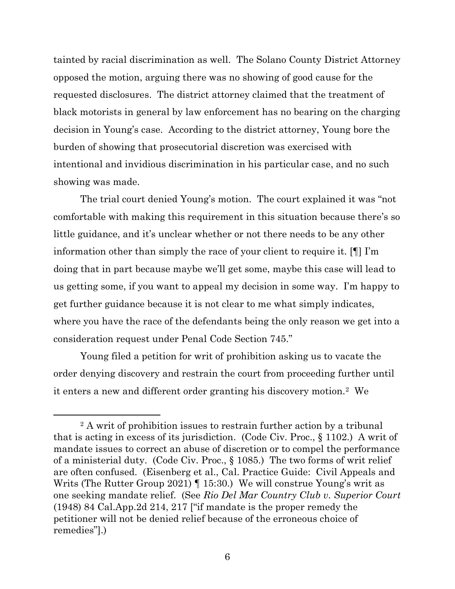tainted by racial discrimination as well. The Solano County District Attorney opposed the motion, arguing there was no showing of good cause for the requested disclosures. The district attorney claimed that the treatment of black motorists in general by law enforcement has no bearing on the charging decision in Young's case. According to the district attorney, Young bore the burden of showing that prosecutorial discretion was exercised with intentional and invidious discrimination in his particular case, and no such showing was made.

The trial court denied Young's motion. The court explained it was "not comfortable with making this requirement in this situation because there's so little guidance, and it's unclear whether or not there needs to be any other information other than simply the race of your client to require it. [¶] I'm doing that in part because maybe we'll get some, maybe this case will lead to us getting some, if you want to appeal my decision in some way. I'm happy to get further guidance because it is not clear to me what simply indicates, where you have the race of the defendants being the only reason we get into a consideration request under Penal Code Section 745."

Young filed a petition for writ of prohibition asking us to vacate the order denying discovery and restrain the court from proceeding further until it enters a new and different order granting his discovery motion.<sup>2</sup> We

<sup>&</sup>lt;sup>2</sup> A writ of prohibition issues to restrain further action by a tribunal that is acting in excess of its jurisdiction. (Code Civ. Proc., § 1102.) A writ of mandate issues to correct an abuse of discretion or to compel the performance of a ministerial duty. (Code Civ. Proc., § 1085.) The two forms of writ relief are often confused. (Eisenberg et al., Cal. Practice Guide: Civil Appeals and Writs (The Rutter Group 2021) ¶ 15:30.) We will construe Young's writ as one seeking mandate relief. (See *Rio Del Mar Country Club v. Superior Court* (1948) 84 Cal.App.2d 214, 217 ["if mandate is the proper remedy the petitioner will not be denied relief because of the erroneous choice of remedies"].)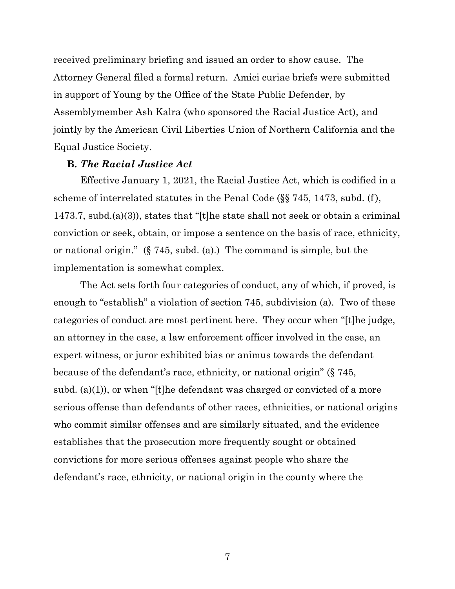received preliminary briefing and issued an order to show cause. The Attorney General filed a formal return. Amici curiae briefs were submitted in support of Young by the Office of the State Public Defender, by Assemblymember Ash Kalra (who sponsored the Racial Justice Act), and jointly by the American Civil Liberties Union of Northern California and the Equal Justice Society.

## **B.** *The Racial Justice Act*

Effective January 1, 2021, the Racial Justice Act, which is codified in a scheme of interrelated statutes in the Penal Code (§§ 745, 1473, subd. (f), 1473.7, subd.(a)(3)), states that "[t]he state shall not seek or obtain a criminal conviction or seek, obtain, or impose a sentence on the basis of race, ethnicity, or national origin." (§ 745, subd. (a).) The command is simple, but the implementation is somewhat complex.

The Act sets forth four categories of conduct, any of which, if proved, is enough to "establish" a violation of section 745, subdivision (a). Two of these categories of conduct are most pertinent here. They occur when "[t]he judge, an attorney in the case, a law enforcement officer involved in the case, an expert witness, or juror exhibited bias or animus towards the defendant because of the defendant's race, ethnicity, or national origin" (§ 745, subd. (a)(1)), or when "[t]he defendant was charged or convicted of a more serious offense than defendants of other races, ethnicities, or national origins who commit similar offenses and are similarly situated, and the evidence establishes that the prosecution more frequently sought or obtained convictions for more serious offenses against people who share the defendant's race, ethnicity, or national origin in the county where the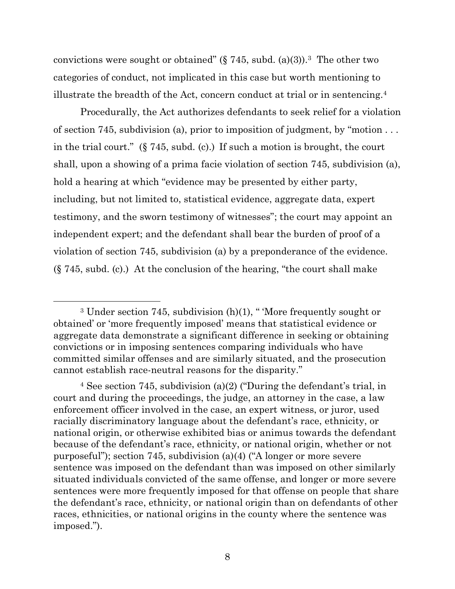convictions were sought or obtained"  $(\S 745, \text{subd. (a)(3)})$ .<sup>3</sup> The other two categories of conduct, not implicated in this case but worth mentioning to illustrate the breadth of the Act, concern conduct at trial or in sentencing.<sup>4</sup>

Procedurally, the Act authorizes defendants to seek relief for a violation of section 745, subdivision (a), prior to imposition of judgment, by "motion . . . in the trial court."  $(\S$  745, subd. (c).) If such a motion is brought, the court shall, upon a showing of a prima facie violation of section 745, subdivision (a), hold a hearing at which "evidence may be presented by either party, including, but not limited to, statistical evidence, aggregate data, expert testimony, and the sworn testimony of witnesses"; the court may appoint an independent expert; and the defendant shall bear the burden of proof of a violation of section 745, subdivision (a) by a preponderance of the evidence. (§ 745, subd. (c).) At the conclusion of the hearing, "the court shall make

 $3$  Under section 745, subdivision (h)(1), " More frequently sought or obtained' or 'more frequently imposed' means that statistical evidence or aggregate data demonstrate a significant difference in seeking or obtaining convictions or in imposing sentences comparing individuals who have committed similar offenses and are similarly situated, and the prosecution cannot establish race-neutral reasons for the disparity."

<sup>4</sup> See section 745, subdivision (a)(2) ("During the defendant's trial, in court and during the proceedings, the judge, an attorney in the case, a law enforcement officer involved in the case, an expert witness, or juror, used racially discriminatory language about the defendant's race, ethnicity, or national origin, or otherwise exhibited bias or animus towards the defendant because of the defendant's race, ethnicity, or national origin, whether or not purposeful"); section 745, subdivision (a)(4) ("A longer or more severe sentence was imposed on the defendant than was imposed on other similarly situated individuals convicted of the same offense, and longer or more severe sentences were more frequently imposed for that offense on people that share the defendant's race, ethnicity, or national origin than on defendants of other races, ethnicities, or national origins in the county where the sentence was imposed.").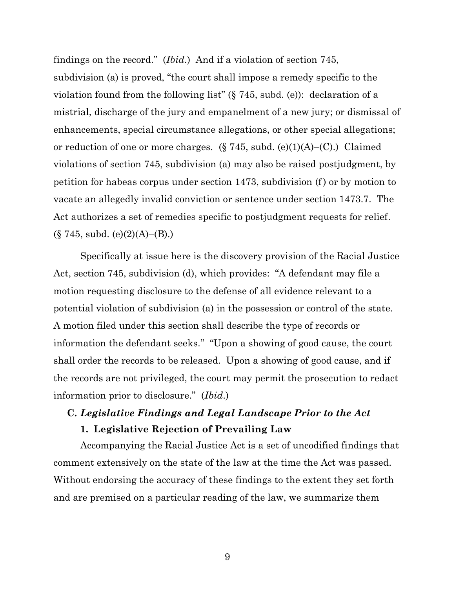findings on the record." (*Ibid*.) And if a violation of section 745, subdivision (a) is proved, "the court shall impose a remedy specific to the violation found from the following list" (§ 745, subd. (e)): declaration of a mistrial, discharge of the jury and empanelment of a new jury; or dismissal of enhancements, special circumstance allegations, or other special allegations; or reduction of one or more charges.  $(\S 745, \text{subd. (e)}(1)(A)$ – $(C)$ .) Claimed violations of section 745, subdivision (a) may also be raised postjudgment, by petition for habeas corpus under section 1473, subdivision (f) or by motion to vacate an allegedly invalid conviction or sentence under section 1473.7. The Act authorizes a set of remedies specific to postjudgment requests for relief.  $(\S$  745, subd. (e)(2)(A)–(B).)

Specifically at issue here is the discovery provision of the Racial Justice Act, section 745, subdivision (d), which provides: "A defendant may file a motion requesting disclosure to the defense of all evidence relevant to a potential violation of subdivision (a) in the possession or control of the state. A motion filed under this section shall describe the type of records or information the defendant seeks." "Upon a showing of good cause, the court shall order the records to be released. Upon a showing of good cause, and if the records are not privileged, the court may permit the prosecution to redact information prior to disclosure." (*Ibid*.)

# **C.** *Legislative Findings and Legal Landscape Prior to the Act* **1. Legislative Rejection of Prevailing Law**

Accompanying the Racial Justice Act is a set of uncodified findings that comment extensively on the state of the law at the time the Act was passed. Without endorsing the accuracy of these findings to the extent they set forth and are premised on a particular reading of the law, we summarize them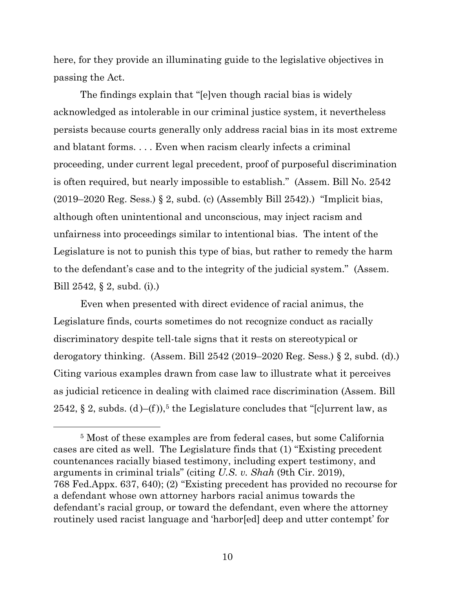here, for they provide an illuminating guide to the legislative objectives in passing the Act.

The findings explain that "[e]ven though racial bias is widely acknowledged as intolerable in our criminal justice system, it nevertheless persists because courts generally only address racial bias in its most extreme and blatant forms. . . . Even when racism clearly infects a criminal proceeding, under current legal precedent, proof of purposeful discrimination is often required, but nearly impossible to establish." (Assem. Bill No. 2542  $(2019–2020 \text{ Reg. Sess.}) \S 2$ , subd. (c) (Assembly Bill 2542).) "Implicit bias, although often unintentional and unconscious, may inject racism and unfairness into proceedings similar to intentional bias. The intent of the Legislature is not to punish this type of bias, but rather to remedy the harm to the defendant's case and to the integrity of the judicial system." (Assem. Bill 2542, § 2, subd. (i).)

Even when presented with direct evidence of racial animus, the Legislature finds, courts sometimes do not recognize conduct as racially discriminatory despite tell-tale signs that it rests on stereotypical or derogatory thinking. (Assem. Bill  $2542$  (2019–2020 Reg. Sess.) § 2, subd. (d).) Citing various examples drawn from case law to illustrate what it perceives as judicial reticence in dealing with claimed race discrimination (Assem. Bill 2542,  $\S 2$ , subds. (d)–(f)),<sup>5</sup> the Legislature concludes that "[c]urrent law, as

<sup>5</sup> Most of these examples are from federal cases, but some California cases are cited as well. The Legislature finds that (1) "Existing precedent countenances racially biased testimony, including expert testimony, and arguments in criminal trials" (citing *U.S. v. Shah* (9th Cir. 2019), 768 Fed.Appx. 637, 640); (2) "Existing precedent has provided no recourse for a defendant whose own attorney harbors racial animus towards the defendant's racial group, or toward the defendant, even where the attorney routinely used racist language and 'harbor[ed] deep and utter contempt' for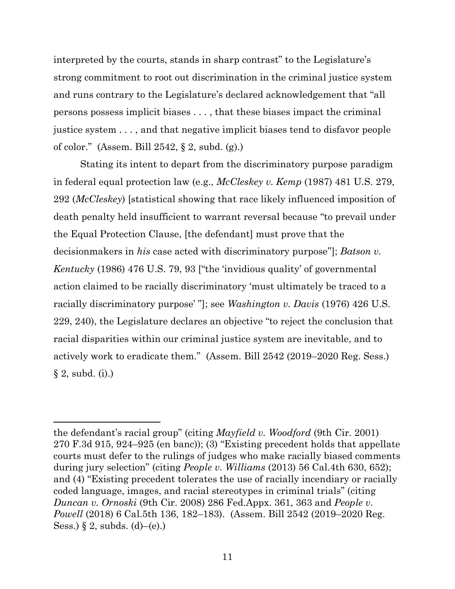interpreted by the courts, stands in sharp contrast" to the Legislature's strong commitment to root out discrimination in the criminal justice system and runs contrary to the Legislature's declared acknowledgement that "all persons possess implicit biases . . . , that these biases impact the criminal justice system . . . , and that negative implicit biases tend to disfavor people of color." (Assem. Bill 2542, § 2, subd. (g).)

Stating its intent to depart from the discriminatory purpose paradigm in federal equal protection law (e.g., *McCleskey v. Kemp* (1987) 481 U.S. 279, 292 (*McCleskey*) [statistical showing that race likely influenced imposition of death penalty held insufficient to warrant reversal because "to prevail under the Equal Protection Clause, [the defendant] must prove that the decisionmakers in *his* case acted with discriminatory purpose"]; *Batson v. Kentucky* (1986) 476 U.S. 79, 93 ["the 'invidious quality' of governmental action claimed to be racially discriminatory 'must ultimately be traced to a racially discriminatory purpose' "]; see *Washington v. Davis* (1976) 426 U.S. 229, 240), the Legislature declares an objective "to reject the conclusion that racial disparities within our criminal justice system are inevitable, and to actively work to eradicate them." (Assem. Bill 2542 (2019–2020 Reg. Sess.)  $\S 2$ , subd. (i).)

the defendant's racial group" (citing *Mayfield v. Woodford* (9th Cir. 2001) 270 F.3d 915, 924–925 (en banc)); (3) "Existing precedent holds that appellate courts must defer to the rulings of judges who make racially biased comments during jury selection" (citing *People v. Williams* (2013) 56 Cal.4th 630, 652); and (4) "Existing precedent tolerates the use of racially incendiary or racially coded language, images, and racial stereotypes in criminal trials" (citing *Duncan v. Ornoski* (9th Cir. 2008) 286 Fed.Appx. 361, 363 and *People v. Powell* (2018) 6 Cal.5th 136, 182–183). (Assem. Bill 2542 (2019–2020 Reg. Sess.) § 2, subds.  $(d)$ – $(e)$ .)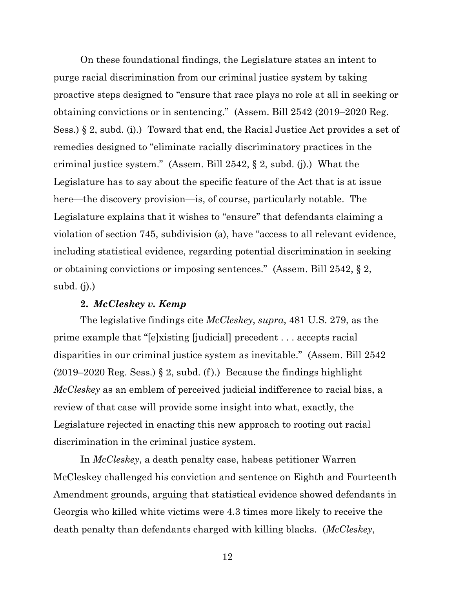On these foundational findings, the Legislature states an intent to purge racial discrimination from our criminal justice system by taking proactive steps designed to "ensure that race plays no role at all in seeking or obtaining convictions or in sentencing." (Assem. Bill 2542 (2019–2020 Reg. Sess.) § 2, subd. (i).) Toward that end, the Racial Justice Act provides a set of remedies designed to "eliminate racially discriminatory practices in the criminal justice system." (Assem. Bill 2542, § 2, subd. (j).) What the Legislature has to say about the specific feature of the Act that is at issue here—the discovery provision—is, of course, particularly notable. The Legislature explains that it wishes to "ensure" that defendants claiming a violation of section 745, subdivision (a), have "access to all relevant evidence, including statistical evidence, regarding potential discrimination in seeking or obtaining convictions or imposing sentences." (Assem. Bill 2542, § 2, subd. (j).)

### **2.** *McCleskey v. Kemp*

The legislative findings cite *McCleskey*, *supra*, 481 U.S. 279, as the prime example that "[e]xisting [judicial] precedent . . . accepts racial disparities in our criminal justice system as inevitable." (Assem. Bill 2542  $(2019–2020 \text{ Reg. Sess.}) \S 2$ , subd. (f).) Because the findings highlight *McCleskey* as an emblem of perceived judicial indifference to racial bias, a review of that case will provide some insight into what, exactly, the Legislature rejected in enacting this new approach to rooting out racial discrimination in the criminal justice system.

In *McCleskey*, a death penalty case, habeas petitioner Warren McCleskey challenged his conviction and sentence on Eighth and Fourteenth Amendment grounds, arguing that statistical evidence showed defendants in Georgia who killed white victims were 4.3 times more likely to receive the death penalty than defendants charged with killing blacks. (*McCleskey*,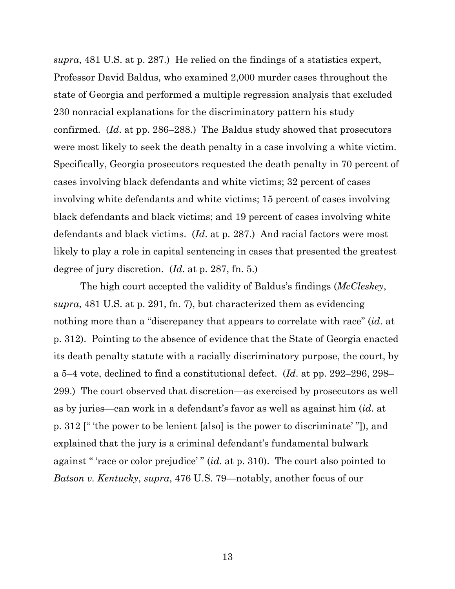*supra*, 481 U.S. at p. 287.) He relied on the findings of a statistics expert, Professor David Baldus, who examined 2,000 murder cases throughout the state of Georgia and performed a multiple regression analysis that excluded 230 nonracial explanations for the discriminatory pattern his study confirmed. (*Id*. at pp. 286–288.) The Baldus study showed that prosecutors were most likely to seek the death penalty in a case involving a white victim. Specifically, Georgia prosecutors requested the death penalty in 70 percent of cases involving black defendants and white victims; 32 percent of cases involving white defendants and white victims; 15 percent of cases involving black defendants and black victims; and 19 percent of cases involving white defendants and black victims. (*Id*. at p. 287.) And racial factors were most likely to play a role in capital sentencing in cases that presented the greatest degree of jury discretion. (*Id*. at p. 287, fn. 5.)

The high court accepted the validity of Baldus's findings (*McCleskey*, *supra*, 481 U.S. at p. 291, fn. 7), but characterized them as evidencing nothing more than a "discrepancy that appears to correlate with race" (*id*. at p. 312). Pointing to the absence of evidence that the State of Georgia enacted its death penalty statute with a racially discriminatory purpose, the court, by a 5–4 vote, declined to find a constitutional defect. (*Id*. at pp. 292–296, 298– 299.) The court observed that discretion—as exercised by prosecutors as well as by juries—can work in a defendant's favor as well as against him (*id*. at p. 312 [" 'the power to be lenient [also] is the power to discriminate' "]), and explained that the jury is a criminal defendant's fundamental bulwark against " 'race or color prejudice' " (*id*. at p. 310). The court also pointed to *Batson v. Kentucky*, *supra*, 476 U.S. 79—notably, another focus of our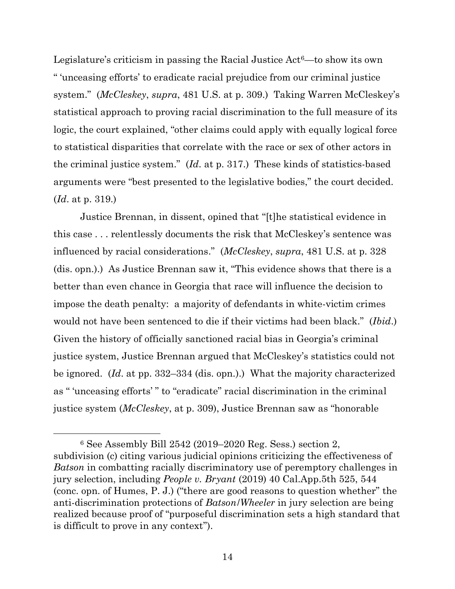Legislature's criticism in passing the Racial Justice  $Act<sup>6</sup>$ —to show its own " 'unceasing efforts' to eradicate racial prejudice from our criminal justice system." (*McCleskey*, *supra*, 481 U.S. at p. 309.) Taking Warren McCleskey's statistical approach to proving racial discrimination to the full measure of its logic, the court explained, "other claims could apply with equally logical force to statistical disparities that correlate with the race or sex of other actors in the criminal justice system." (*Id*. at p. 317.) These kinds of statistics-based arguments were "best presented to the legislative bodies," the court decided. (*Id*. at p. 319.)

Justice Brennan, in dissent, opined that "[t]he statistical evidence in this case . . . relentlessly documents the risk that McCleskey's sentence was influenced by racial considerations." (*McCleskey*, *supra*, 481 U.S. at p. 328 (dis. opn.).) As Justice Brennan saw it, "This evidence shows that there is a better than even chance in Georgia that race will influence the decision to impose the death penalty: a majority of defendants in white-victim crimes would not have been sentenced to die if their victims had been black." (*Ibid*.) Given the history of officially sanctioned racial bias in Georgia's criminal justice system, Justice Brennan argued that McCleskey's statistics could not be ignored. (*Id*. at pp. 332–334 (dis. opn.).) What the majority characterized as " 'unceasing efforts' " to "eradicate" racial discrimination in the criminal justice system (*McCleskey*, at p. 309), Justice Brennan saw as "honorable

<sup>6</sup> See Assembly Bill 2542 (2019–2020 Reg. Sess.) section 2, subdivision (c) citing various judicial opinions criticizing the effectiveness of *Batson* in combatting racially discriminatory use of peremptory challenges in jury selection, including *People v. Bryant* (2019) 40 Cal.App.5th 525, 544 (conc. opn. of Humes, P. J.) ("there are good reasons to question whether" the anti-discrimination protections of *Batson*/*Wheeler* in jury selection are being realized because proof of "purposeful discrimination sets a high standard that is difficult to prove in any context").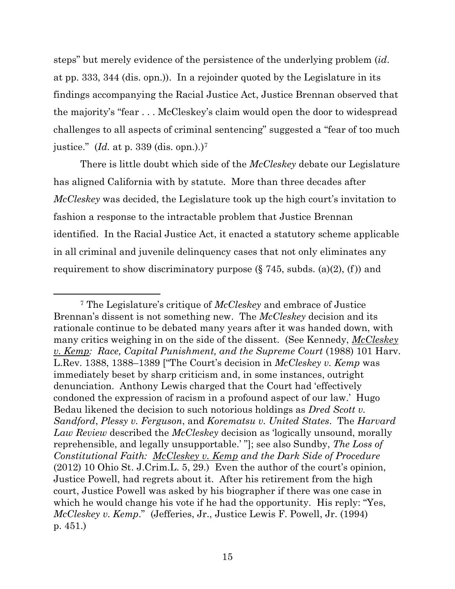steps" but merely evidence of the persistence of the underlying problem (*id*. at pp. 333, 344 (dis. opn.)). In a rejoinder quoted by the Legislature in its findings accompanying the Racial Justice Act, Justice Brennan observed that the majority's "fear . . . McCleskey's claim would open the door to widespread challenges to all aspects of criminal sentencing" suggested a "fear of too much justice." (*Id.* at p. 339 (dis. opn.).) 7

There is little doubt which side of the *McCleskey* debate our Legislature has aligned California with by statute. More than three decades after *McCleskey* was decided, the Legislature took up the high court's invitation to fashion a response to the intractable problem that Justice Brennan identified. In the Racial Justice Act, it enacted a statutory scheme applicable in all criminal and juvenile delinquency cases that not only eliminates any requirement to show discriminatory purpose  $(\S 745, \text{subds.} (a)(2), (f))$  and

<sup>7</sup> The Legislature's critique of *McCleskey* and embrace of Justice Brennan's dissent is not something new. The *McCleskey* decision and its rationale continue to be debated many years after it was handed down, with many critics weighing in on the side of the dissent. (See Kennedy, *McCleskey v. Kemp: Race, Capital Punishment, and the Supreme Court* (1988) 101 Harv. L.Rev. 1388, 1388–1389 ["The Court's decision in *McCleskey v. Kemp* was immediately beset by sharp criticism and, in some instances, outright denunciation. Anthony Lewis charged that the Court had 'effectively condoned the expression of racism in a profound aspect of our law.' Hugo Bedau likened the decision to such notorious holdings as *Dred Scott v. Sandford*, *Plessy v. Ferguson*, and *Korematsu v. United States*. The *Harvard Law Review* described the *McCleskey* decision as 'logically unsound, morally reprehensible, and legally unsupportable.' "]; see also Sundby, *The Loss of Constitutional Faith: McCleskey v. Kemp and the Dark Side of Procedure* (2012) 10 Ohio St. J.Crim.L. 5, 29.) Even the author of the court's opinion, Justice Powell, had regrets about it. After his retirement from the high court, Justice Powell was asked by his biographer if there was one case in which he would change his vote if he had the opportunity. His reply: "Yes, *McCleskey v. Kemp*." (Jefferies, Jr., Justice Lewis F. Powell, Jr. (1994) p. 451.)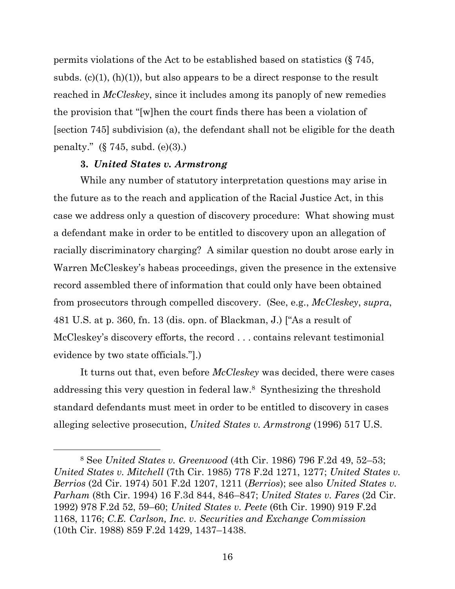permits violations of the Act to be established based on statistics (§ 745, subds.  $(c)(1)$ ,  $(h)(1)$ , but also appears to be a direct response to the result reached in *McCleskey*, since it includes among its panoply of new remedies the provision that "[w]hen the court finds there has been a violation of [section 745] subdivision (a), the defendant shall not be eligible for the death penalty." (§ 745, subd. (e)(3).)

#### **3.** *United States v. Armstrong*

While any number of statutory interpretation questions may arise in the future as to the reach and application of the Racial Justice Act, in this case we address only a question of discovery procedure: What showing must a defendant make in order to be entitled to discovery upon an allegation of racially discriminatory charging? A similar question no doubt arose early in Warren McCleskey's habeas proceedings, given the presence in the extensive record assembled there of information that could only have been obtained from prosecutors through compelled discovery. (See, e.g., *McCleskey*, *supra*, 481 U.S. at p. 360, fn. 13 (dis. opn. of Blackman, J.) ["As a result of McCleskey's discovery efforts, the record . . . contains relevant testimonial evidence by two state officials."].)

It turns out that, even before *McCleskey* was decided, there were cases addressing this very question in federal law. 8 Synthesizing the threshold standard defendants must meet in order to be entitled to discovery in cases alleging selective prosecution, *United States v. Armstrong* (1996) 517 U.S.

<sup>8</sup> See *United States v. Greenwood* (4th Cir. 1986) 796 F.2d 49, 52–53; *United States v. Mitchell* (7th Cir. 1985) 778 F.2d 1271, 1277; *United States v. Berrios* (2d Cir. 1974) 501 F.2d 1207, 1211 (*Berrios*); see also *United States v. Parham* (8th Cir. 1994) 16 F.3d 844, 846–847; *United States v. Fares* (2d Cir. 1992) 978 F.2d 52, 59–60; *United States v. Peete* (6th Cir. 1990) 919 F.2d 1168, 1176; *C.E. Carlson, Inc. v. Securities and Exchange Commission* (10th Cir. 1988) 859 F.2d 1429, 1437–1438.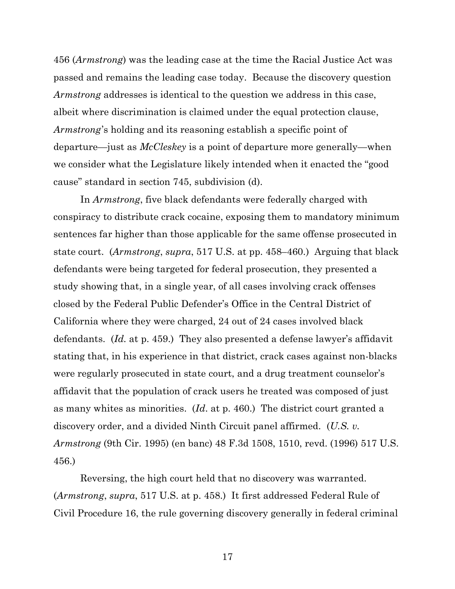456 (*Armstrong*) was the leading case at the time the Racial Justice Act was passed and remains the leading case today. Because the discovery question *Armstrong* addresses is identical to the question we address in this case, albeit where discrimination is claimed under the equal protection clause, *Armstrong*'s holding and its reasoning establish a specific point of departure—just as *McCleskey* is a point of departure more generally—when we consider what the Legislature likely intended when it enacted the "good cause" standard in section 745, subdivision (d).

In *Armstrong*, five black defendants were federally charged with conspiracy to distribute crack cocaine, exposing them to mandatory minimum sentences far higher than those applicable for the same offense prosecuted in state court. (*Armstrong*, *supra*, 517 U.S. at pp. 458–460.) Arguing that black defendants were being targeted for federal prosecution, they presented a study showing that, in a single year, of all cases involving crack offenses closed by the Federal Public Defender's Office in the Central District of California where they were charged, 24 out of 24 cases involved black defendants. (*Id.* at p. 459.) They also presented a defense lawyer's affidavit stating that, in his experience in that district, crack cases against non-blacks were regularly prosecuted in state court, and a drug treatment counselor's affidavit that the population of crack users he treated was composed of just as many whites as minorities. (*Id*. at p. 460.) The district court granted a discovery order, and a divided Ninth Circuit panel affirmed. (*U.S. v. Armstrong* (9th Cir. 1995) (en banc) 48 F.3d 1508, 1510, revd. (1996) 517 U.S. 456.)

Reversing, the high court held that no discovery was warranted. (*Armstrong*, *supra*, 517 U.S. at p. 458.) It first addressed Federal Rule of Civil Procedure 16, the rule governing discovery generally in federal criminal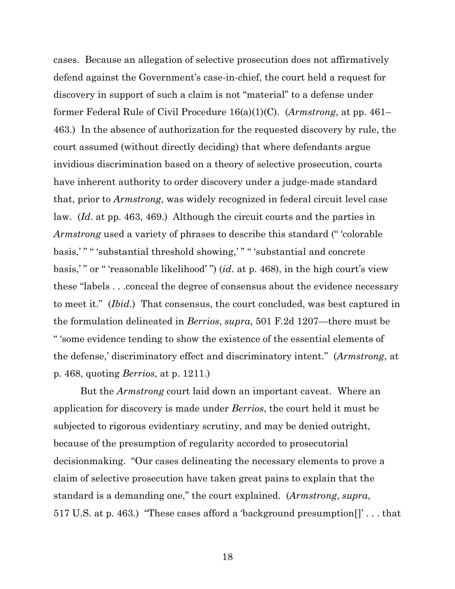cases. Because an allegation of selective prosecution does not affirmatively defend against the Government's case-in-chief, the court held a request for discovery in support of such a claim is not "material" to a defense under former Federal Rule of Civil Procedure 16(a)(1)(C). (*Armstrong*, at pp. 461– 463.) In the absence of authorization for the requested discovery by rule, the court assumed (without directly deciding) that where defendants argue invidious discrimination based on a theory of selective prosecution, courts have inherent authority to order discovery under a judge-made standard that, prior to *Armstrong*, was widely recognized in federal circuit level case law. (*Id*. at pp. 463, 469.) Although the circuit courts and the parties in *Armstrong* used a variety of phrases to describe this standard (" 'colorable basis,' " " 'substantial threshold showing,' " " 'substantial and concrete basis,' " or " 'reasonable likelihood' ") (*id*. at p. 468), in the high court's view these "labels . . .conceal the degree of consensus about the evidence necessary to meet it." (*Ibid*.) That consensus, the court concluded, was best captured in the formulation delineated in *Berrios*, *supra*, 501 F.2d 1207—there must be " 'some evidence tending to show the existence of the essential elements of the defense,' discriminatory effect and discriminatory intent." (*Armstrong*, at p. 468, quoting *Berrios*, at p. 1211.)

But the *Armstrong* court laid down an important caveat. Where an application for discovery is made under *Berrios*, the court held it must be subjected to rigorous evidentiary scrutiny, and may be denied outright, because of the presumption of regularity accorded to prosecutorial decisionmaking. "Our cases delineating the necessary elements to prove a claim of selective prosecution have taken great pains to explain that the standard is a demanding one," the court explained. (*Armstrong*, *supra*, 517 U.S. at p. 463.) "These cases afford a 'background presumption[]' . . . that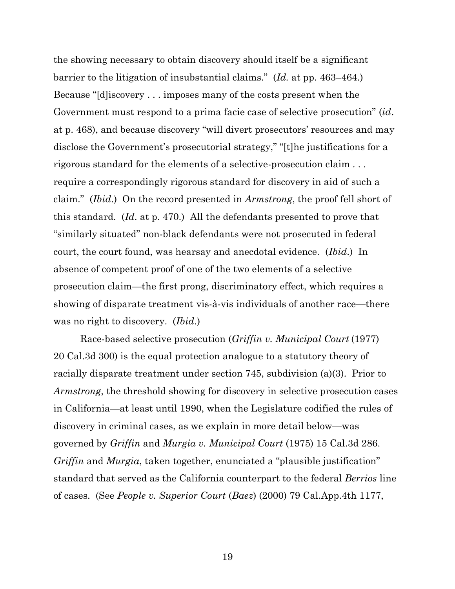the showing necessary to obtain discovery should itself be a significant barrier to the litigation of insubstantial claims." (*Id.* at pp. 463–464.) Because "[d]iscovery . . . imposes many of the costs present when the Government must respond to a prima facie case of selective prosecution" (*id*. at p. 468), and because discovery "will divert prosecutors' resources and may disclose the Government's prosecutorial strategy," "[t]he justifications for a rigorous standard for the elements of a selective-prosecution claim . . . require a correspondingly rigorous standard for discovery in aid of such a claim." (*Ibid*.) On the record presented in *Armstrong*, the proof fell short of this standard. (*Id*. at p. 470.) All the defendants presented to prove that "similarly situated" non-black defendants were not prosecuted in federal court, the court found, was hearsay and anecdotal evidence. (*Ibid*.) In absence of competent proof of one of the two elements of a selective prosecution claim—the first prong, discriminatory effect, which requires a showing of disparate treatment vis-à-vis individuals of another race—there was no right to discovery. (*Ibid*.)

Race-based selective prosecution (*Griffin v. Municipal Court* (1977) 20 Cal.3d 300) is the equal protection analogue to a statutory theory of racially disparate treatment under section 745, subdivision (a)(3). Prior to *Armstrong*, the threshold showing for discovery in selective prosecution cases in California—at least until 1990, when the Legislature codified the rules of discovery in criminal cases, as we explain in more detail below—was governed by *Griffin* and *Murgia v. Municipal Court* (1975) 15 Cal.3d 286. *Griffin* and *Murgia*, taken together, enunciated a "plausible justification" standard that served as the California counterpart to the federal *Berrios* line of cases. (See *People v. Superior Court* (*Baez*) (2000) 79 Cal.App.4th 1177,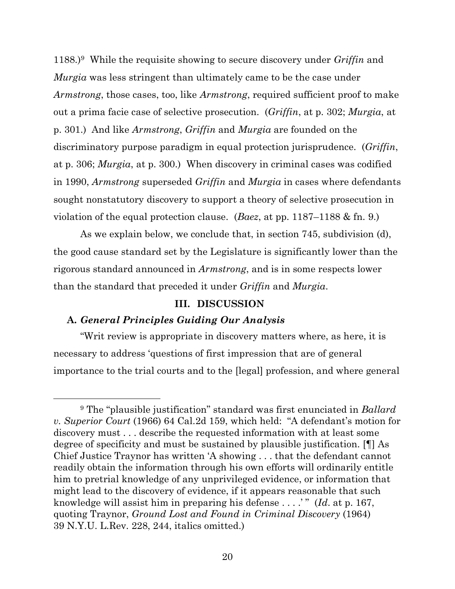1188.)<sup>9</sup> While the requisite showing to secure discovery under *Griffin* and *Murgia* was less stringent than ultimately came to be the case under *Armstrong*, those cases, too, like *Armstrong*, required sufficient proof to make out a prima facie case of selective prosecution. (*Griffin*, at p. 302; *Murgia*, at p. 301.) And like *Armstrong*, *Griffin* and *Murgia* are founded on the discriminatory purpose paradigm in equal protection jurisprudence. (*Griffin*, at p. 306; *Murgia*, at p. 300.) When discovery in criminal cases was codified in 1990, *Armstrong* superseded *Griffin* and *Murgia* in cases where defendants sought nonstatutory discovery to support a theory of selective prosecution in violation of the equal protection clause. (*Baez*, at pp. 1187–1188 & fn. 9.)

As we explain below, we conclude that, in section 745, subdivision (d), the good cause standard set by the Legislature is significantly lower than the rigorous standard announced in *Armstrong*, and is in some respects lower than the standard that preceded it under *Griffin* and *Murgia*.

#### **III. DISCUSSION**

## **A.** *General Principles Guiding Our Analysis*

"Writ review is appropriate in discovery matters where, as here, it is necessary to address 'questions of first impression that are of general importance to the trial courts and to the [legal] profession, and where general

<sup>9</sup> The "plausible justification" standard was first enunciated in *Ballard v. Superior Court* (1966) 64 Cal.2d 159, which held: "A defendant's motion for discovery must . . . describe the requested information with at least some degree of specificity and must be sustained by plausible justification. [¶] As Chief Justice Traynor has written 'A showing . . . that the defendant cannot readily obtain the information through his own efforts will ordinarily entitle him to pretrial knowledge of any unprivileged evidence, or information that might lead to the discovery of evidence, if it appears reasonable that such knowledge will assist him in preparing his defense . . . .' " (*Id*. at p. 167, quoting Traynor, *Ground Lost and Found in Criminal Discovery* (1964) 39 N.Y.U. L.Rev. 228, 244, italics omitted.)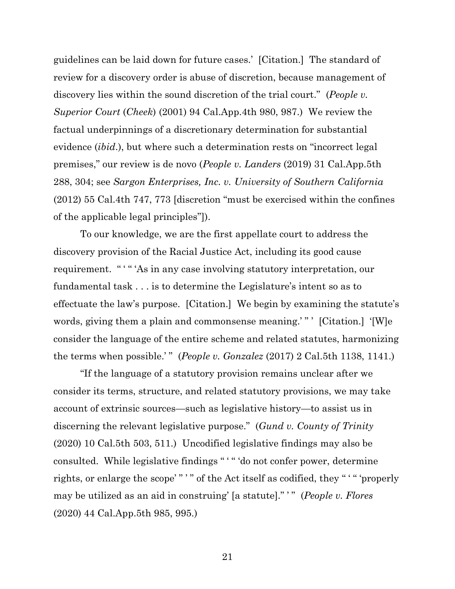guidelines can be laid down for future cases.' [Citation.] The standard of review for a discovery order is abuse of discretion, because management of discovery lies within the sound discretion of the trial court." (*People v. Superior Court* (*Cheek*) (2001) 94 Cal.App.4th 980, 987.) We review the factual underpinnings of a discretionary determination for substantial evidence (*ibid*.), but where such a determination rests on "incorrect legal premises," our review is de novo (*People v. Landers* (2019) 31 Cal.App.5th 288, 304; see *Sargon Enterprises, Inc. v. University of Southern California* (2012) 55 Cal.4th 747, 773 [discretion "must be exercised within the confines of the applicable legal principles"]).

To our knowledge, we are the first appellate court to address the discovery provision of the Racial Justice Act, including its good cause requirement. " " "As in any case involving statutory interpretation, our fundamental task . . . is to determine the Legislature's intent so as to effectuate the law's purpose. [Citation.] We begin by examining the statute's words, giving them a plain and commonsense meaning.'" ' [Citation.] '[W]e consider the language of the entire scheme and related statutes, harmonizing the terms when possible.'" (*People v. Gonzalez* (2017) 2 Cal.5th 1138, 1141.)

"If the language of a statutory provision remains unclear after we consider its terms, structure, and related statutory provisions, we may take account of extrinsic sources—such as legislative history—to assist us in discerning the relevant legislative purpose." (*Gund v. County of Trinity* (2020) 10 Cal.5th 503, 511.) Uncodified legislative findings may also be consulted. While legislative findings " ' " 'do not confer power, determine rights, or enlarge the scope'"'" of the Act itself as codified, they "'" "properly may be utilized as an aid in construing' [a statute]." ' " (*People v. Flores* (2020) 44 Cal.App.5th 985, 995.)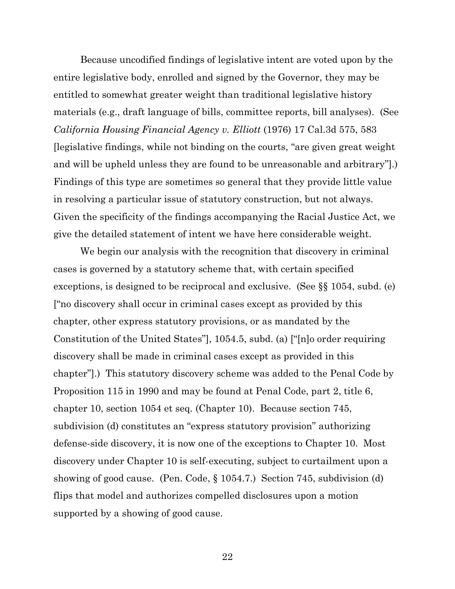Because uncodified findings of legislative intent are voted upon by the entire legislative body, enrolled and signed by the Governor, they may be entitled to somewhat greater weight than traditional legislative history materials (e.g., draft language of bills, committee reports, bill analyses). (See *California Housing Financial Agency v. Elliott* (1976) 17 Cal.3d 575, 583 [legislative findings, while not binding on the courts, "are given great weight and will be upheld unless they are found to be unreasonable and arbitrary"].) Findings of this type are sometimes so general that they provide little value in resolving a particular issue of statutory construction, but not always. Given the specificity of the findings accompanying the Racial Justice Act, we give the detailed statement of intent we have here considerable weight.

We begin our analysis with the recognition that discovery in criminal cases is governed by a statutory scheme that, with certain specified exceptions, is designed to be reciprocal and exclusive. (See §§ 1054, subd. (e) ["no discovery shall occur in criminal cases except as provided by this chapter, other express statutory provisions, or as mandated by the Constitution of the United States"], 1054.5, subd. (a) ["[n]o order requiring discovery shall be made in criminal cases except as provided in this chapter"].) This statutory discovery scheme was added to the Penal Code by Proposition 115 in 1990 and may be found at Penal Code, part 2, title 6, chapter 10, section 1054 et seq. (Chapter 10). Because section 745, subdivision (d) constitutes an "express statutory provision" authorizing defense-side discovery, it is now one of the exceptions to Chapter 10. Most discovery under Chapter 10 is self-executing, subject to curtailment upon a showing of good cause. (Pen. Code, § 1054.7.) Section 745, subdivision (d) flips that model and authorizes compelled disclosures upon a motion supported by a showing of good cause.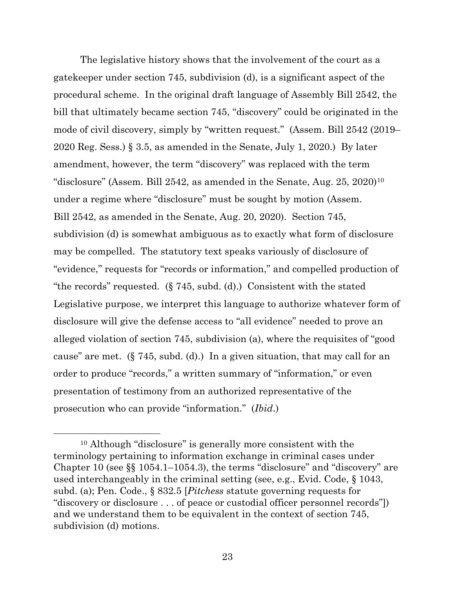The legislative history shows that the involvement of the court as a gatekeeper under section 745, subdivision (d), is a significant aspect of the procedural scheme. In the original draft language of Assembly Bill 2542, the bill that ultimately became section 745, "discovery" could be originated in the mode of civil discovery, simply by "written request." (Assem. Bill 2542 (2019– 2020 Reg. Sess.) § 3.5, as amended in the Senate, July 1, 2020.) By later amendment, however, the term "discovery" was replaced with the term "disclosure" (Assem. Bill 2542, as amended in the Senate, Aug.  $25, 2020$ )<sup>10</sup> under a regime where "disclosure" must be sought by motion (Assem. Bill 2542, as amended in the Senate, Aug. 20, 2020). Section 745, subdivision (d) is somewhat ambiguous as to exactly what form of disclosure may be compelled. The statutory text speaks variously of disclosure of "evidence," requests for "records or information," and compelled production of "the records" requested. (§ 745, subd. (d).) Consistent with the stated Legislative purpose, we interpret this language to authorize whatever form of disclosure will give the defense access to "all evidence" needed to prove an alleged violation of section 745, subdivision (a), where the requisites of "good cause" are met. (§ 745, subd. (d).) In a given situation, that may call for an order to produce "records," a written summary of "information," or even presentation of testimony from an authorized representative of the prosecution who can provide "information." (*Ibid*.)

<sup>10</sup> Although "disclosure" is generally more consistent with the terminology pertaining to information exchange in criminal cases under Chapter 10 (see §§ 1054.1–1054.3), the terms "disclosure" and "discovery" are used interchangeably in the criminal setting (see, e.g., Evid. Code, § 1043, subd. (a); Pen. Code., § 832.5 [*Pitchess* statute governing requests for "discovery or disclosure . . . of peace or custodial officer personnel records"]) and we understand them to be equivalent in the context of section 745, subdivision (d) motions.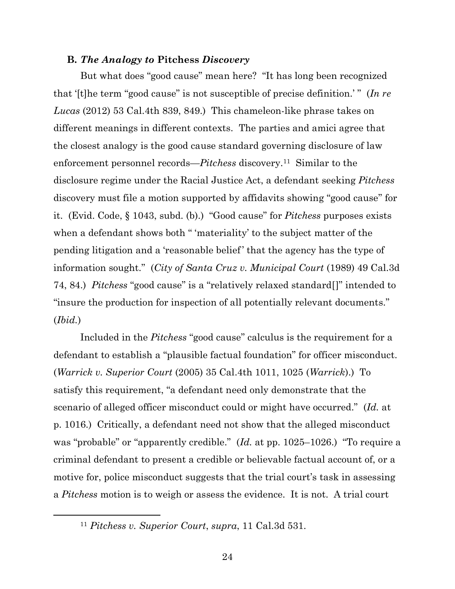#### **B.** *The Analogy to* **Pitchess** *Discovery*

But what does "good cause" mean here? "It has long been recognized that '[t]he term "good cause" is not susceptible of precise definition.' " (*In re Lucas* (2012) 53 Cal.4th 839, 849.) This chameleon-like phrase takes on different meanings in different contexts. The parties and amici agree that the closest analogy is the good cause standard governing disclosure of law enforcement personnel records—*Pitchess* discovery.<sup>11</sup> Similar to the disclosure regime under the Racial Justice Act, a defendant seeking *Pitchess*  discovery must file a motion supported by affidavits showing "good cause" for it. (Evid. Code, § 1043, subd. (b).) "Good cause" for *Pitchess* purposes exists when a defendant shows both " 'materiality' to the subject matter of the pending litigation and a 'reasonable belief' that the agency has the type of information sought." (*City of Santa Cruz v. Municipal Court* (1989) 49 Cal.3d 74, 84.) *Pitchess* "good cause" is a "relatively relaxed standard[]" intended to "insure the production for inspection of all potentially relevant documents." (*Ibid.*)

Included in the *Pitchess* "good cause" calculus is the requirement for a defendant to establish a "plausible factual foundation" for officer misconduct. (*Warrick v. Superior Court* (2005) 35 Cal.4th 1011, 1025 (*Warrick*).) To satisfy this requirement, "a defendant need only demonstrate that the scenario of alleged officer misconduct could or might have occurred." (*Id.* at p. 1016.) Critically, a defendant need not show that the alleged misconduct was "probable" or "apparently credible." (*Id.* at pp. 1025–1026.) "To require a criminal defendant to present a credible or believable factual account of, or a motive for, police misconduct suggests that the trial court's task in assessing a *Pitchess* motion is to weigh or assess the evidence. It is not. A trial court

<sup>11</sup> *Pitchess v. Superior Court*, *supra*, 11 Cal.3d 531.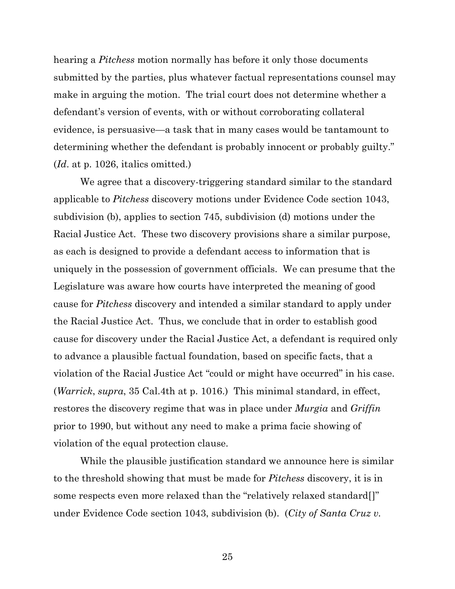hearing a *Pitchess* motion normally has before it only those documents submitted by the parties, plus whatever factual representations counsel may make in arguing the motion. The trial court does not determine whether a defendant's version of events, with or without corroborating collateral evidence, is persuasive—a task that in many cases would be tantamount to determining whether the defendant is probably innocent or probably guilty." (*Id*. at p. 1026, italics omitted.)

We agree that a discovery-triggering standard similar to the standard applicable to *Pitchess* discovery motions under Evidence Code section 1043, subdivision (b), applies to section 745, subdivision (d) motions under the Racial Justice Act. These two discovery provisions share a similar purpose, as each is designed to provide a defendant access to information that is uniquely in the possession of government officials. We can presume that the Legislature was aware how courts have interpreted the meaning of good cause for *Pitchess* discovery and intended a similar standard to apply under the Racial Justice Act. Thus, we conclude that in order to establish good cause for discovery under the Racial Justice Act, a defendant is required only to advance a plausible factual foundation, based on specific facts, that a violation of the Racial Justice Act "could or might have occurred" in his case. (*Warrick*, *supra*, 35 Cal.4th at p. 1016.) This minimal standard, in effect, restores the discovery regime that was in place under *Murgia* and *Griffin* prior to 1990, but without any need to make a prima facie showing of violation of the equal protection clause.

While the plausible justification standard we announce here is similar to the threshold showing that must be made for *Pitchess* discovery, it is in some respects even more relaxed than the "relatively relaxed standard[]" under Evidence Code section 1043, subdivision (b). (*City of Santa Cruz v.*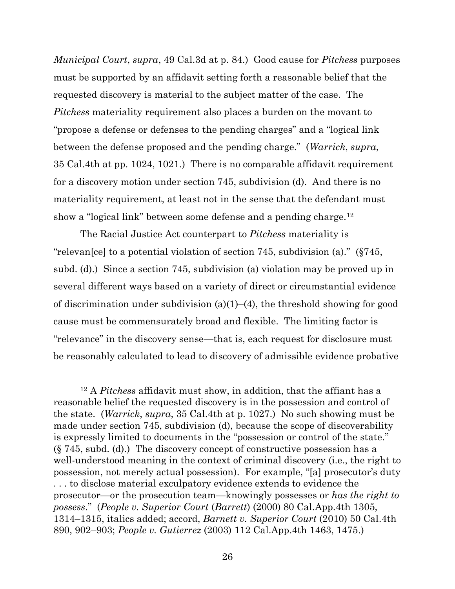*Municipal Court*, *supra*, 49 Cal.3d at p. 84.) Good cause for *Pitchess* purposes must be supported by an affidavit setting forth a reasonable belief that the requested discovery is material to the subject matter of the case. The *Pitchess* materiality requirement also places a burden on the movant to "propose a defense or defenses to the pending charges" and a "logical link between the defense proposed and the pending charge." (*Warrick*, *supra*, 35 Cal.4th at pp. 1024, 1021.) There is no comparable affidavit requirement for a discovery motion under section 745, subdivision (d). And there is no materiality requirement, at least not in the sense that the defendant must show a "logical link" between some defense and a pending charge.<sup>12</sup>

The Racial Justice Act counterpart to *Pitchess* materiality is "relevan[ce] to a potential violation of section 745, subdivision (a)." (§745, subd. (d).) Since a section 745, subdivision (a) violation may be proved up in several different ways based on a variety of direct or circumstantial evidence of discrimination under subdivision  $(a)(1)$ – $(4)$ , the threshold showing for good cause must be commensurately broad and flexible. The limiting factor is "relevance" in the discovery sense—that is, each request for disclosure must be reasonably calculated to lead to discovery of admissible evidence probative

<sup>12</sup> A *Pitchess* affidavit must show, in addition, that the affiant has a reasonable belief the requested discovery is in the possession and control of the state. (*Warrick*, *supra*, 35 Cal.4th at p. 1027.) No such showing must be made under section 745, subdivision (d), because the scope of discoverability is expressly limited to documents in the "possession or control of the state." (§ 745, subd. (d).) The discovery concept of constructive possession has a well-understood meaning in the context of criminal discovery (i.e., the right to possession, not merely actual possession). For example, "[a] prosecutor's duty . . . to disclose material exculpatory evidence extends to evidence the prosecutor—or the prosecution team—knowingly possesses or *has the right to possess*." (*People v. Superior Court* (*Barrett*) (2000) 80 Cal.App.4th 1305, 1314–1315, italics added; accord, *Barnett v. Superior Court* (2010) 50 Cal.4th 890, 902–903; *People v. Gutierrez* (2003) 112 Cal.App.4th 1463, 1475.)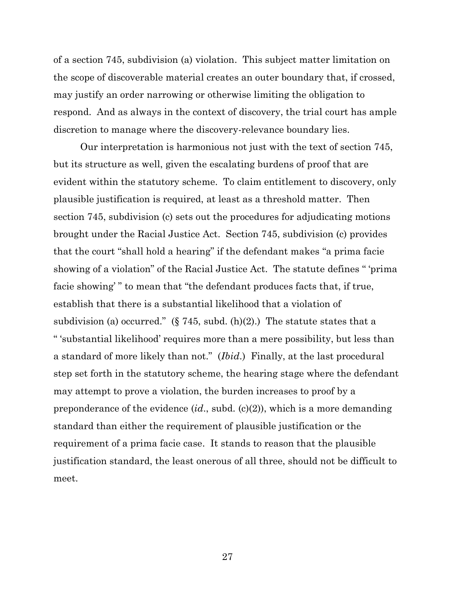of a section 745, subdivision (a) violation. This subject matter limitation on the scope of discoverable material creates an outer boundary that, if crossed, may justify an order narrowing or otherwise limiting the obligation to respond. And as always in the context of discovery, the trial court has ample discretion to manage where the discovery-relevance boundary lies.

Our interpretation is harmonious not just with the text of section 745, but its structure as well, given the escalating burdens of proof that are evident within the statutory scheme. To claim entitlement to discovery, only plausible justification is required, at least as a threshold matter. Then section 745, subdivision (c) sets out the procedures for adjudicating motions brought under the Racial Justice Act. Section 745, subdivision (c) provides that the court "shall hold a hearing" if the defendant makes "a prima facie showing of a violation" of the Racial Justice Act. The statute defines " 'prima facie showing' " to mean that "the defendant produces facts that, if true, establish that there is a substantial likelihood that a violation of subdivision (a) occurred." (§ 745, subd. (h)(2).) The statute states that a " 'substantial likelihood' requires more than a mere possibility, but less than a standard of more likely than not." (*Ibid*.) Finally, at the last procedural step set forth in the statutory scheme, the hearing stage where the defendant may attempt to prove a violation, the burden increases to proof by a preponderance of the evidence (*id*., subd. (c)(2)), which is a more demanding standard than either the requirement of plausible justification or the requirement of a prima facie case. It stands to reason that the plausible justification standard, the least onerous of all three, should not be difficult to meet.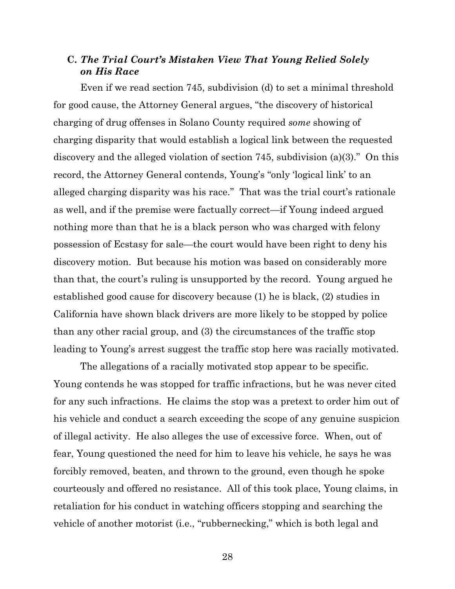## **C.** *The Trial Court's Mistaken View That Young Relied Solely on His Race*

Even if we read section 745, subdivision (d) to set a minimal threshold for good cause, the Attorney General argues, "the discovery of historical charging of drug offenses in Solano County required *some* showing of charging disparity that would establish a logical link between the requested discovery and the alleged violation of section 745, subdivision (a)(3)." On this record, the Attorney General contends, Young's "only 'logical link' to an alleged charging disparity was his race." That was the trial court's rationale as well, and if the premise were factually correct—if Young indeed argued nothing more than that he is a black person who was charged with felony possession of Ecstasy for sale—the court would have been right to deny his discovery motion. But because his motion was based on considerably more than that, the court's ruling is unsupported by the record. Young argued he established good cause for discovery because (1) he is black, (2) studies in California have shown black drivers are more likely to be stopped by police than any other racial group, and (3) the circumstances of the traffic stop leading to Young's arrest suggest the traffic stop here was racially motivated.

The allegations of a racially motivated stop appear to be specific. Young contends he was stopped for traffic infractions, but he was never cited for any such infractions. He claims the stop was a pretext to order him out of his vehicle and conduct a search exceeding the scope of any genuine suspicion of illegal activity. He also alleges the use of excessive force. When, out of fear, Young questioned the need for him to leave his vehicle, he says he was forcibly removed, beaten, and thrown to the ground, even though he spoke courteously and offered no resistance. All of this took place, Young claims, in retaliation for his conduct in watching officers stopping and searching the vehicle of another motorist (i.e., "rubbernecking," which is both legal and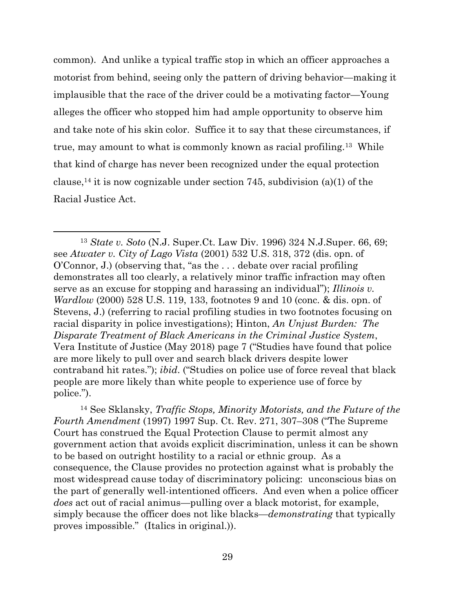common). And unlike a typical traffic stop in which an officer approaches a motorist from behind, seeing only the pattern of driving behavior—making it implausible that the race of the driver could be a motivating factor—Young alleges the officer who stopped him had ample opportunity to observe him and take note of his skin color. Suffice it to say that these circumstances, if true, may amount to what is commonly known as racial profiling.<sup>13</sup> While that kind of charge has never been recognized under the equal protection clause,<sup>14</sup> it is now cognizable under section 745, subdivision (a)(1) of the Racial Justice Act.

<sup>14</sup> See Sklansky, *Traffic Stops, Minority Motorists, and the Future of the Fourth Amendment* (1997) 1997 Sup. Ct. Rev. 271, 307–308 ("The Supreme Court has construed the Equal Protection Clause to permit almost any government action that avoids explicit discrimination, unless it can be shown to be based on outright hostility to a racial or ethnic group. As a consequence, the Clause provides no protection against what is probably the most widespread cause today of discriminatory policing: unconscious bias on the part of generally well-intentioned officers. And even when a police officer *does* act out of racial animus—pulling over a black motorist, for example, simply because the officer does not like blacks—*demonstrating* that typically proves impossible." (Italics in original.)).

<sup>13</sup> *State v. Soto* (N.J. Super.Ct. Law Div. 1996) 324 N.J.Super. 66, 69; see *Atwater v. City of Lago Vista* (2001) 532 U.S. 318, 372 (dis. opn. of O'Connor, J.) (observing that, "as the . . . debate over racial profiling demonstrates all too clearly, a relatively minor traffic infraction may often serve as an excuse for stopping and harassing an individual"); *Illinois v. Wardlow* (2000) 528 U.S. 119, 133, footnotes 9 and 10 (conc. & dis. opn. of Stevens, J.) (referring to racial profiling studies in two footnotes focusing on racial disparity in police investigations); Hinton, *An Unjust Burden: The Disparate Treatment of Black Americans in the Criminal Justice System*, Vera Institute of Justice (May 2018) page 7 ("Studies have found that police are more likely to pull over and search black drivers despite lower contraband hit rates."); *ibid*. ("Studies on police use of force reveal that black people are more likely than white people to experience use of force by police.").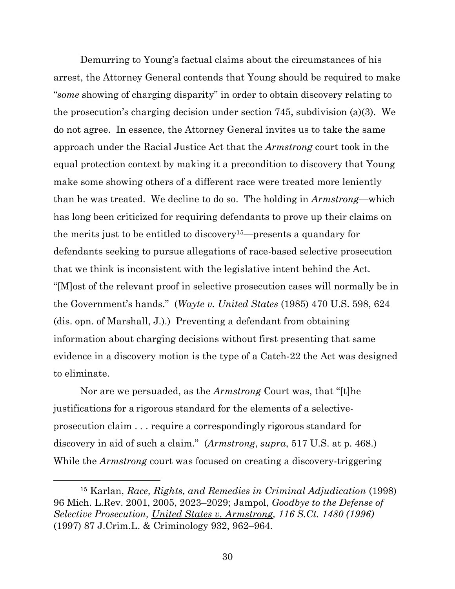Demurring to Young's factual claims about the circumstances of his arrest, the Attorney General contends that Young should be required to make "*some* showing of charging disparity" in order to obtain discovery relating to the prosecution's charging decision under section 745, subdivision (a)(3). We do not agree. In essence, the Attorney General invites us to take the same approach under the Racial Justice Act that the *Armstrong* court took in the equal protection context by making it a precondition to discovery that Young make some showing others of a different race were treated more leniently than he was treated. We decline to do so. The holding in *Armstrong*—which has long been criticized for requiring defendants to prove up their claims on the merits just to be entitled to discovery15—presents a quandary for defendants seeking to pursue allegations of race-based selective prosecution that we think is inconsistent with the legislative intent behind the Act. "[M]ost of the relevant proof in selective prosecution cases will normally be in the Government's hands." (*Wayte v. United States* (1985) 470 U.S. 598, 624 (dis. opn. of Marshall, J.).) Preventing a defendant from obtaining information about charging decisions without first presenting that same evidence in a discovery motion is the type of a Catch-22 the Act was designed to eliminate.

Nor are we persuaded, as the *Armstrong* Court was, that "[t]he justifications for a rigorous standard for the elements of a selectiveprosecution claim . . . require a correspondingly rigorous standard for discovery in aid of such a claim." (*Armstrong*, *supra*, 517 U.S. at p. 468.) While the *Armstrong* court was focused on creating a discovery-triggering

<sup>15</sup> Karlan, *Race, Rights, and Remedies in Criminal Adjudication* (1998) 96 Mich. L.Rev. 2001, 2005, 2023–2029; Jampol, *Goodbye to the Defense of Selective Prosecution, United States v. Armstrong, 116 S.Ct. 1480 (1996)* (1997) 87 J.Crim.L. & Criminology 932, 962–964.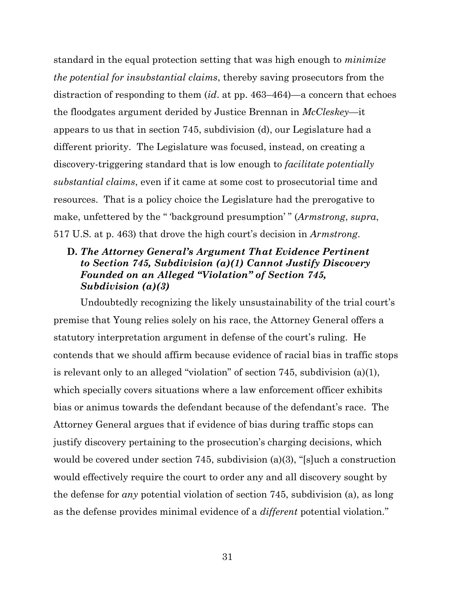standard in the equal protection setting that was high enough to *minimize the potential for insubstantial claims*, thereby saving prosecutors from the distraction of responding to them (*id*. at pp. 463–464)—a concern that echoes the floodgates argument derided by Justice Brennan in *McCleskey*—it appears to us that in section 745, subdivision (d), our Legislature had a different priority. The Legislature was focused, instead, on creating a discovery-triggering standard that is low enough to *facilitate potentially substantial claims*, even if it came at some cost to prosecutorial time and resources. That is a policy choice the Legislature had the prerogative to make, unfettered by the " 'background presumption' " (*Armstrong*, *supra*, 517 U.S. at p. 463) that drove the high court's decision in *Armstrong*.

## **D.** *The Attorney General's Argument That Evidence Pertinent to Section 745, Subdivision (a)(1) Cannot Justify Discovery Founded on an Alleged "Violation" of Section 745, Subdivision (a)(3)*

Undoubtedly recognizing the likely unsustainability of the trial court's premise that Young relies solely on his race, the Attorney General offers a statutory interpretation argument in defense of the court's ruling. He contends that we should affirm because evidence of racial bias in traffic stops is relevant only to an alleged "violation" of section 745, subdivision (a)(1), which specially covers situations where a law enforcement officer exhibits bias or animus towards the defendant because of the defendant's race. The Attorney General argues that if evidence of bias during traffic stops can justify discovery pertaining to the prosecution's charging decisions, which would be covered under section 745, subdivision (a)(3), "[s]uch a construction would effectively require the court to order any and all discovery sought by the defense for *any* potential violation of section 745, subdivision (a), as long as the defense provides minimal evidence of a *different* potential violation."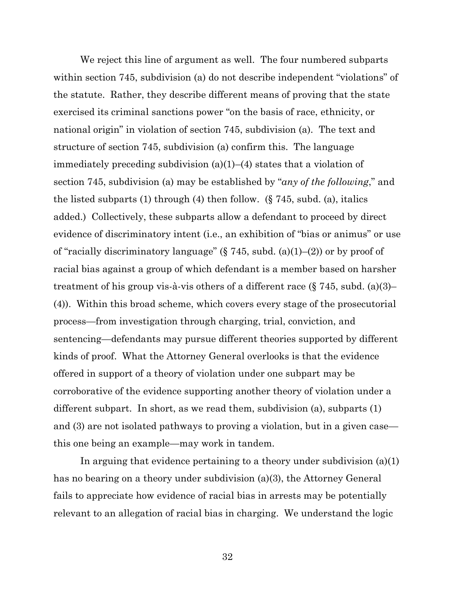We reject this line of argument as well. The four numbered subparts within section 745, subdivision (a) do not describe independent "violations" of the statute. Rather, they describe different means of proving that the state exercised its criminal sanctions power "on the basis of race, ethnicity, or national origin" in violation of section 745, subdivision (a). The text and structure of section 745, subdivision (a) confirm this. The language immediately preceding subdivision (a)(1)–(4) states that a violation of section 745, subdivision (a) may be established by "*any of the following*," and the listed subparts (1) through (4) then follow. (§ 745, subd. (a), italics added.) Collectively, these subparts allow a defendant to proceed by direct evidence of discriminatory intent (i.e., an exhibition of "bias or animus" or use of "racially discriminatory language" (§ 745, subd. (a)(1)–(2)) or by proof of racial bias against a group of which defendant is a member based on harsher treatment of his group vis-à-vis others of a different race  $(\S 745, \text{subd}, (a)(3)$ (4)). Within this broad scheme, which covers every stage of the prosecutorial process—from investigation through charging, trial, conviction, and sentencing—defendants may pursue different theories supported by different kinds of proof. What the Attorney General overlooks is that the evidence offered in support of a theory of violation under one subpart may be corroborative of the evidence supporting another theory of violation under a different subpart. In short, as we read them, subdivision (a), subparts (1) and (3) are not isolated pathways to proving a violation, but in a given case this one being an example—may work in tandem.

In arguing that evidence pertaining to a theory under subdivision (a)(1) has no bearing on a theory under subdivision (a)(3), the Attorney General fails to appreciate how evidence of racial bias in arrests may be potentially relevant to an allegation of racial bias in charging. We understand the logic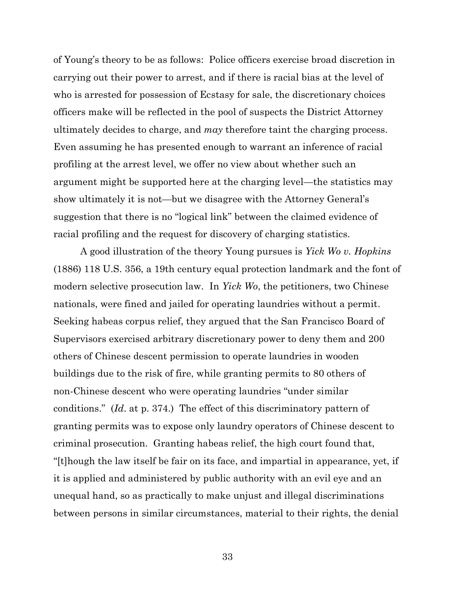of Young's theory to be as follows: Police officers exercise broad discretion in carrying out their power to arrest, and if there is racial bias at the level of who is arrested for possession of Ecstasy for sale, the discretionary choices officers make will be reflected in the pool of suspects the District Attorney ultimately decides to charge, and *may* therefore taint the charging process. Even assuming he has presented enough to warrant an inference of racial profiling at the arrest level, we offer no view about whether such an argument might be supported here at the charging level—the statistics may show ultimately it is not—but we disagree with the Attorney General's suggestion that there is no "logical link" between the claimed evidence of racial profiling and the request for discovery of charging statistics.

A good illustration of the theory Young pursues is *Yick Wo v. Hopkins* (1886) 118 U.S. 356, a 19th century equal protection landmark and the font of modern selective prosecution law. In *Yick Wo*, the petitioners, two Chinese nationals, were fined and jailed for operating laundries without a permit. Seeking habeas corpus relief, they argued that the San Francisco Board of Supervisors exercised arbitrary discretionary power to deny them and 200 others of Chinese descent permission to operate laundries in wooden buildings due to the risk of fire, while granting permits to 80 others of non-Chinese descent who were operating laundries "under similar conditions." (*Id*. at p. 374.) The effect of this discriminatory pattern of granting permits was to expose only laundry operators of Chinese descent to criminal prosecution. Granting habeas relief, the high court found that, "[t]hough the law itself be fair on its face, and impartial in appearance, yet, if it is applied and administered by public authority with an evil eye and an unequal hand, so as practically to make unjust and illegal discriminations between persons in similar circumstances, material to their rights, the denial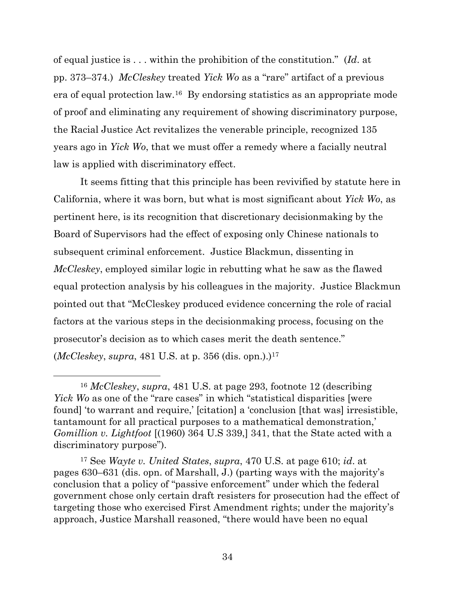of equal justice is . . . within the prohibition of the constitution." (*Id*. at pp. 373–374.) *McCleskey* treated *Yick Wo* as a "rare" artifact of a previous era of equal protection law.<sup>16</sup> By endorsing statistics as an appropriate mode of proof and eliminating any requirement of showing discriminatory purpose, the Racial Justice Act revitalizes the venerable principle, recognized 135 years ago in *Yick Wo*, that we must offer a remedy where a facially neutral law is applied with discriminatory effect.

It seems fitting that this principle has been revivified by statute here in California, where it was born, but what is most significant about *Yick Wo*, as pertinent here, is its recognition that discretionary decisionmaking by the Board of Supervisors had the effect of exposing only Chinese nationals to subsequent criminal enforcement. Justice Blackmun, dissenting in *McCleskey*, employed similar logic in rebutting what he saw as the flawed equal protection analysis by his colleagues in the majority. Justice Blackmun pointed out that "McCleskey produced evidence concerning the role of racial factors at the various steps in the decisionmaking process, focusing on the prosecutor's decision as to which cases merit the death sentence." (*McCleskey*, *supra*, 481 U.S. at p. 356 (dis. opn.).)<sup>17</sup>

<sup>16</sup> *McCleskey*, *supra*, 481 U.S. at page 293, footnote 12 (describing *Yick Wo* as one of the "rare cases" in which "statistical disparities [were found] 'to warrant and require,' [citation] a 'conclusion [that was] irresistible, tantamount for all practical purposes to a mathematical demonstration,' *Gomillion v. Lightfoot* [(1960) 364 U.S 339,] 341, that the State acted with a discriminatory purpose").

<sup>17</sup> See *Wayte v. United States*, *supra*, 470 U.S. at page 610; *id*. at pages 630–631 (dis. opn. of Marshall, J.) (parting ways with the majority's conclusion that a policy of "passive enforcement" under which the federal government chose only certain draft resisters for prosecution had the effect of targeting those who exercised First Amendment rights; under the majority's approach, Justice Marshall reasoned, "there would have been no equal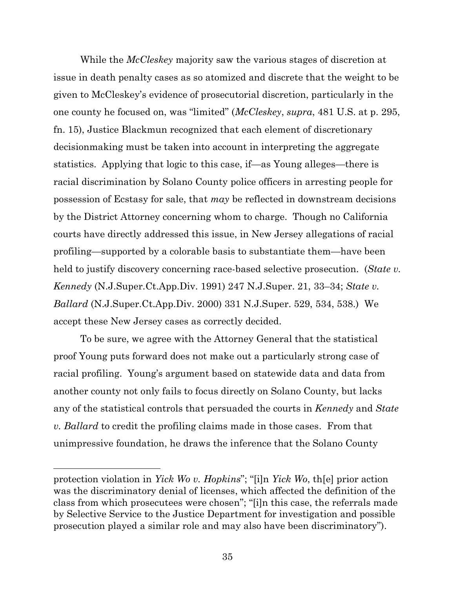While the *McCleskey* majority saw the various stages of discretion at issue in death penalty cases as so atomized and discrete that the weight to be given to McCleskey's evidence of prosecutorial discretion, particularly in the one county he focused on, was "limited" (*McCleskey*, *supra*, 481 U.S. at p. 295, fn. 15), Justice Blackmun recognized that each element of discretionary decisionmaking must be taken into account in interpreting the aggregate statistics. Applying that logic to this case, if—as Young alleges—there is racial discrimination by Solano County police officers in arresting people for possession of Ecstasy for sale, that *may* be reflected in downstream decisions by the District Attorney concerning whom to charge. Though no California courts have directly addressed this issue, in New Jersey allegations of racial profiling—supported by a colorable basis to substantiate them—have been held to justify discovery concerning race-based selective prosecution. (*State v. Kennedy* (N.J.Super.Ct.App.Div. 1991) 247 N.J.Super. 21, 33–34; *State v. Ballard* (N.J.Super.Ct.App.Div. 2000) 331 N.J.Super. 529, 534, 538.) We accept these New Jersey cases as correctly decided.

To be sure, we agree with the Attorney General that the statistical proof Young puts forward does not make out a particularly strong case of racial profiling. Young's argument based on statewide data and data from another county not only fails to focus directly on Solano County, but lacks any of the statistical controls that persuaded the courts in *Kennedy* and *State v. Ballard* to credit the profiling claims made in those cases. From that unimpressive foundation, he draws the inference that the Solano County

protection violation in *Yick Wo v. Hopkins*"; "[i]n *Yick Wo*, th[e] prior action was the discriminatory denial of licenses, which affected the definition of the class from which prosecutees were chosen"; "[i]n this case, the referrals made by Selective Service to the Justice Department for investigation and possible prosecution played a similar role and may also have been discriminatory").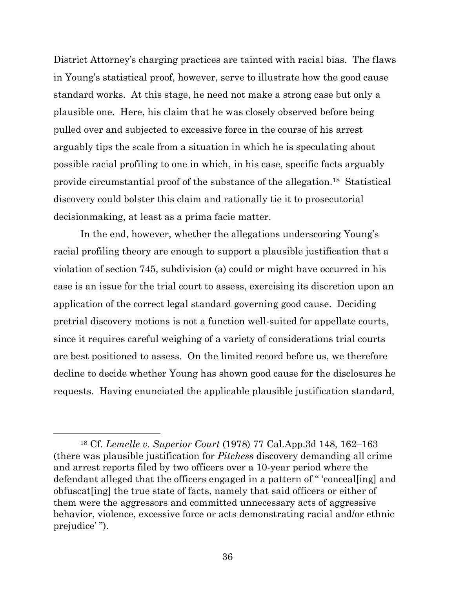District Attorney's charging practices are tainted with racial bias. The flaws in Young's statistical proof, however, serve to illustrate how the good cause standard works. At this stage, he need not make a strong case but only a plausible one. Here, his claim that he was closely observed before being pulled over and subjected to excessive force in the course of his arrest arguably tips the scale from a situation in which he is speculating about possible racial profiling to one in which, in his case, specific facts arguably provide circumstantial proof of the substance of the allegation. 18 Statistical discovery could bolster this claim and rationally tie it to prosecutorial decisionmaking, at least as a prima facie matter.

In the end, however, whether the allegations underscoring Young's racial profiling theory are enough to support a plausible justification that a violation of section 745, subdivision (a) could or might have occurred in his case is an issue for the trial court to assess, exercising its discretion upon an application of the correct legal standard governing good cause. Deciding pretrial discovery motions is not a function well-suited for appellate courts, since it requires careful weighing of a variety of considerations trial courts are best positioned to assess. On the limited record before us, we therefore decline to decide whether Young has shown good cause for the disclosures he requests. Having enunciated the applicable plausible justification standard,

<sup>18</sup> Cf. *Lemelle v. Superior Court* (1978) 77 Cal.App.3d 148, 162–163 (there was plausible justification for *Pitchess* discovery demanding all crime and arrest reports filed by two officers over a 10-year period where the defendant alleged that the officers engaged in a pattern of " 'conceal[ing] and obfuscat[ing] the true state of facts, namely that said officers or either of them were the aggressors and committed unnecessary acts of aggressive behavior, violence, excessive force or acts demonstrating racial and/or ethnic prejudice'").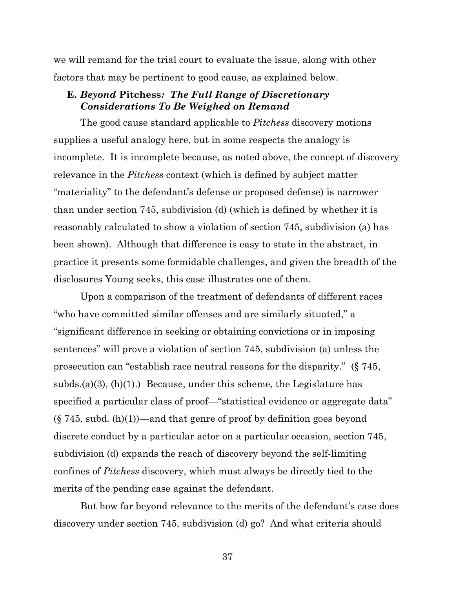we will remand for the trial court to evaluate the issue, along with other factors that may be pertinent to good cause, as explained below.

## **E.** *Beyond* **Pitchess***: The Full Range of Discretionary Considerations To Be Weighed on Remand*

The good cause standard applicable to *Pitchess* discovery motions supplies a useful analogy here, but in some respects the analogy is incomplete. It is incomplete because, as noted above, the concept of discovery relevance in the *Pitchess* context (which is defined by subject matter "materiality" to the defendant's defense or proposed defense) is narrower than under section 745, subdivision (d) (which is defined by whether it is reasonably calculated to show a violation of section 745, subdivision (a) has been shown). Although that difference is easy to state in the abstract, in practice it presents some formidable challenges, and given the breadth of the disclosures Young seeks, this case illustrates one of them.

Upon a comparison of the treatment of defendants of different races "who have committed similar offenses and are similarly situated," a "significant difference in seeking or obtaining convictions or in imposing sentences" will prove a violation of section 745, subdivision (a) unless the prosecution can "establish race neutral reasons for the disparity." (§ 745, subds.(a)(3),  $(h)(1)$ .) Because, under this scheme, the Legislature has specified a particular class of proof—"statistical evidence or aggregate data"  $(\S 745, \text{subd.} (h)(1))$ —and that genre of proof by definition goes beyond discrete conduct by a particular actor on a particular occasion, section 745, subdivision (d) expands the reach of discovery beyond the self-limiting confines of *Pitchess* discovery, which must always be directly tied to the merits of the pending case against the defendant.

But how far beyond relevance to the merits of the defendant's case does discovery under section 745, subdivision (d) go? And what criteria should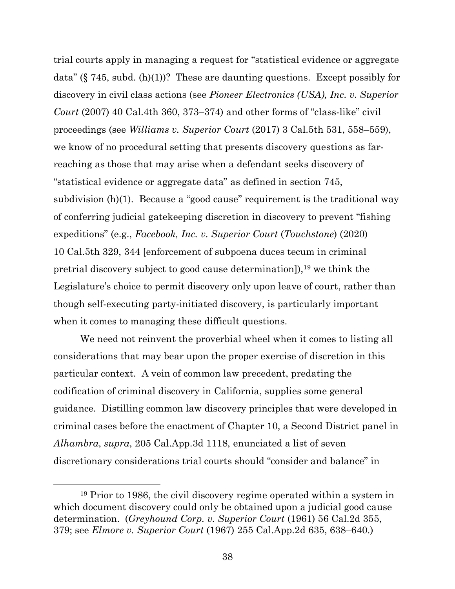trial courts apply in managing a request for "statistical evidence or aggregate data" (§ 745, subd. (h)(1))? These are daunting questions. Except possibly for discovery in civil class actions (see *Pioneer Electronics (USA), Inc. v. Superior Court* (2007) 40 Cal.4th 360, 373–374) and other forms of "class-like" civil proceedings (see *Williams v. Superior Court* (2017) 3 Cal.5th 531, 558–559), we know of no procedural setting that presents discovery questions as farreaching as those that may arise when a defendant seeks discovery of "statistical evidence or aggregate data" as defined in section 745, subdivision (h)(1). Because a "good cause" requirement is the traditional way of conferring judicial gatekeeping discretion in discovery to prevent "fishing expeditions" (e.g., *Facebook, Inc. v. Superior Court* (*Touchstone*) (2020) 10 Cal.5th 329, 344 [enforcement of subpoena duces tecum in criminal pretrial discovery subject to good cause determination]),<sup>19</sup> we think the Legislature's choice to permit discovery only upon leave of court, rather than though self-executing party-initiated discovery, is particularly important when it comes to managing these difficult questions.

We need not reinvent the proverbial wheel when it comes to listing all considerations that may bear upon the proper exercise of discretion in this particular context. A vein of common law precedent, predating the codification of criminal discovery in California, supplies some general guidance. Distilling common law discovery principles that were developed in criminal cases before the enactment of Chapter 10, a Second District panel in *Alhambra*, *supra*, 205 Cal.App.3d 1118, enunciated a list of seven discretionary considerations trial courts should "consider and balance" in

<sup>19</sup> Prior to 1986, the civil discovery regime operated within a system in which document discovery could only be obtained upon a judicial good cause determination. (*Greyhound Corp. v. Superior Court* (1961) 56 Cal.2d 355, 379; see *Elmore v. Superior Court* (1967) 255 Cal.App.2d 635, 638–640.)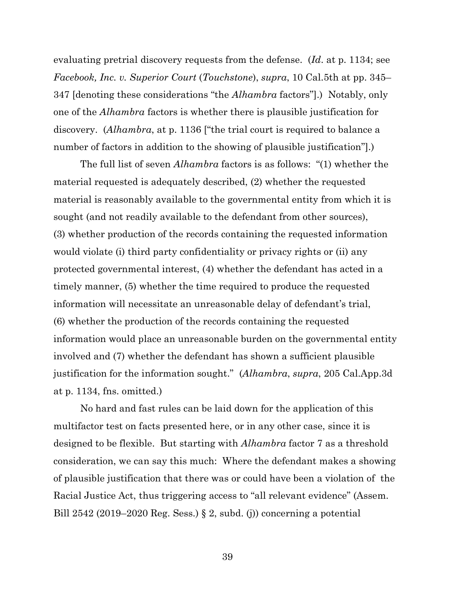evaluating pretrial discovery requests from the defense. (*Id*. at p. 1134; see *Facebook, Inc. v. Superior Court* (*Touchstone*), *supra*, 10 Cal.5th at pp. 345– 347 [denoting these considerations "the *Alhambra* factors"].) Notably, only one of the *Alhambra* factors is whether there is plausible justification for discovery. (*Alhambra*, at p. 1136 ["the trial court is required to balance a number of factors in addition to the showing of plausible justification".)

The full list of seven *Alhambra* factors is as follows: "(1) whether the material requested is adequately described, (2) whether the requested material is reasonably available to the governmental entity from which it is sought (and not readily available to the defendant from other sources), (3) whether production of the records containing the requested information would violate (i) third party confidentiality or privacy rights or (ii) any protected governmental interest, (4) whether the defendant has acted in a timely manner, (5) whether the time required to produce the requested information will necessitate an unreasonable delay of defendant's trial, (6) whether the production of the records containing the requested information would place an unreasonable burden on the governmental entity involved and (7) whether the defendant has shown a sufficient plausible justification for the information sought." (*Alhambra*, *supra*, 205 Cal.App.3d at p. 1134, fns. omitted.)

No hard and fast rules can be laid down for the application of this multifactor test on facts presented here, or in any other case, since it is designed to be flexible. But starting with *Alhambra* factor 7 as a threshold consideration, we can say this much: Where the defendant makes a showing of plausible justification that there was or could have been a violation of the Racial Justice Act, thus triggering access to "all relevant evidence" (Assem. Bill 2542 (2019–2020 Reg. Sess.) § 2, subd. (j)) concerning a potential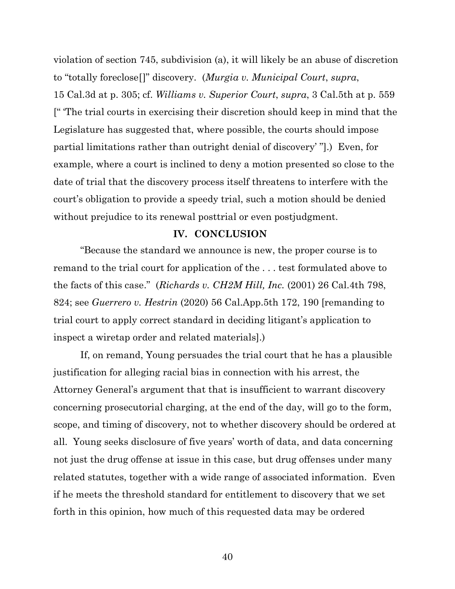violation of section 745, subdivision (a), it will likely be an abuse of discretion to "totally foreclose[]" discovery. (*Murgia v. Municipal Court*, *supra*, 15 Cal.3d at p. 305; cf. *Williams v. Superior Court*, *supra*, 3 Cal.5th at p. 559 [" 'The trial courts in exercising their discretion should keep in mind that the Legislature has suggested that, where possible, the courts should impose partial limitations rather than outright denial of discovery' "].) Even, for example, where a court is inclined to deny a motion presented so close to the date of trial that the discovery process itself threatens to interfere with the court's obligation to provide a speedy trial, such a motion should be denied without prejudice to its renewal posttrial or even postjudgment.

#### **IV. CONCLUSION**

"Because the standard we announce is new, the proper course is to remand to the trial court for application of the . . . test formulated above to the facts of this case." (*Richards v. CH2M Hill, Inc.* (2001) 26 Cal.4th 798, 824; see *Guerrero v. Hestrin* (2020) 56 Cal.App.5th 172, 190 [remanding to trial court to apply correct standard in deciding litigant's application to inspect a wiretap order and related materials].)

If, on remand, Young persuades the trial court that he has a plausible justification for alleging racial bias in connection with his arrest, the Attorney General's argument that that is insufficient to warrant discovery concerning prosecutorial charging, at the end of the day, will go to the form, scope, and timing of discovery, not to whether discovery should be ordered at all. Young seeks disclosure of five years' worth of data, and data concerning not just the drug offense at issue in this case, but drug offenses under many related statutes, together with a wide range of associated information. Even if he meets the threshold standard for entitlement to discovery that we set forth in this opinion, how much of this requested data may be ordered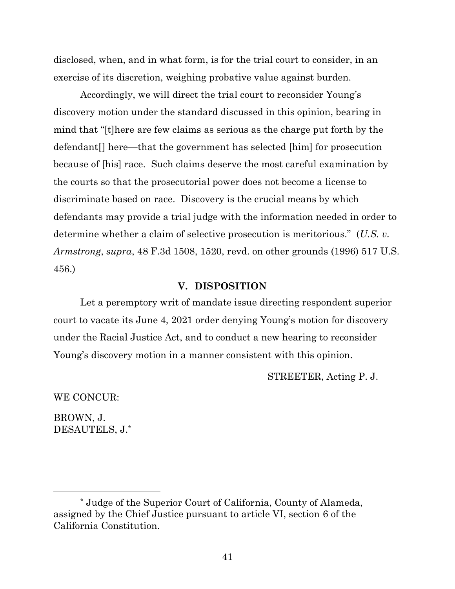disclosed, when, and in what form, is for the trial court to consider, in an exercise of its discretion, weighing probative value against burden.

Accordingly, we will direct the trial court to reconsider Young's discovery motion under the standard discussed in this opinion, bearing in mind that "[t]here are few claims as serious as the charge put forth by the defendant[] here—that the government has selected [him] for prosecution because of [his] race. Such claims deserve the most careful examination by the courts so that the prosecutorial power does not become a license to discriminate based on race. Discovery is the crucial means by which defendants may provide a trial judge with the information needed in order to determine whether a claim of selective prosecution is meritorious." (*U.S. v. Armstrong*, *supra*, 48 F.3d 1508, 1520, revd. on other grounds (1996) 517 U.S. 456.)

#### **V. DISPOSITION**

Let a peremptory writ of mandate issue directing respondent superior court to vacate its June 4, 2021 order denying Young's motion for discovery under the Racial Justice Act, and to conduct a new hearing to reconsider Young's discovery motion in a manner consistent with this opinion.

STREETER, Acting P. J.

WE CONCUR:

BROWN, J. DESAUTELS, J.\*

<sup>\*</sup> Judge of the Superior Court of California, County of Alameda, assigned by the Chief Justice pursuant to article VI, section 6 of the California Constitution.